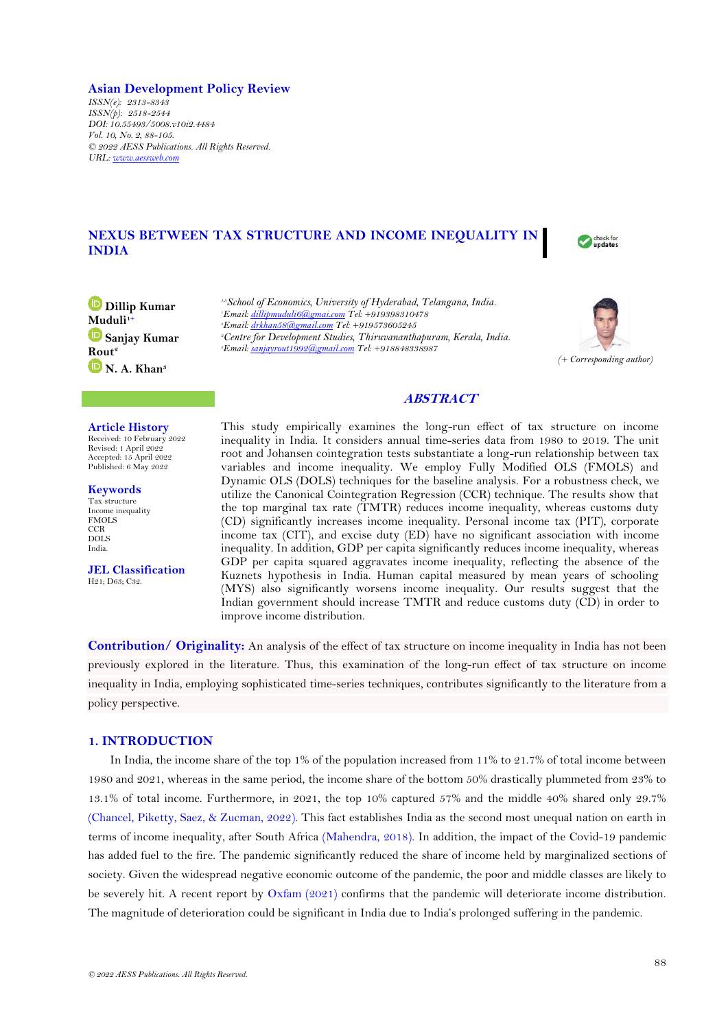# **Asian Development Policy Review**

*ISSN(e): 2313-8343 ISSN(p): 2518-2544 DOI: 10.55493/5008.v10i2.4484 Vol. 10, No. 2, 88-105. © 2022 AESS Publications. All Rights Reserved. URL: [www.aessweb.com](http://www.aessweb.com/)*

# **NEXUS BETWEEN TAX STRUCTURE AND INCOME INEQUALITY IN INDIA**



**Dillip Kumar Muduli1+ Sanjay Kumar Rout<sup>2</sup> N. A. Khan<sup>3</sup>**

## **Article History**

Received: 10 February 2022 Revised: 1 April 2022 Accepted: 15 April 2022 Published: 6 May 2022

**Keywords** Tax structure Income inequality FMOLS CCR DOLS India.

**JEL Classification** H21; D63; C32.

*1,3School of Economics, University of Hyderabad, Telangana, India. Email[: dillipmuduli6@gmai.com](mailto:dillipmuduli6@gmai.com) Tel: +919398310478 Email[: drkhan58@gmail.com](mailto:drkhan58@gmail.com) Tel: +919573605245 Centre for Development Studies, Thiruvananthapuram, Kerala, India. Email[: sanjayrout1992@gmail.com](mailto:sanjayrout1992@gmail.com) Tel: +918848338987* 



# **ABSTRACT**

This study empirically examines the long-run effect of tax structure on income inequality in India. It considers annual time-series data from 1980 to 2019. The unit root and Johansen cointegration tests substantiate a long-run relationship between tax variables and income inequality. We employ Fully Modified OLS (FMOLS) and Dynamic OLS (DOLS) techniques for the baseline analysis. For a robustness check, we utilize the Canonical Cointegration Regression (CCR) technique. The results show that the top marginal tax rate (TMTR) reduces income inequality, whereas customs duty (CD) significantly increases income inequality. Personal income tax (PIT), corporate income tax (CIT), and excise duty (ED) have no significant association with income inequality. In addition, GDP per capita significantly reduces income inequality, whereas GDP per capita squared aggravates income inequality, reflecting the absence of the Kuznets hypothesis in India. Human capital measured by mean years of schooling (MYS) also significantly worsens income inequality. Our results suggest that the Indian government should increase TMTR and reduce customs duty (CD) in order to improve income distribution.

**Contribution/ Originality:** An analysis of the effect of tax structure on income inequality in India has not been previously explored in the literature. Thus, this examination of the long-run effect of tax structure on income inequality in India, employing sophisticated time-series techniques, contributes significantly to the literature from a policy perspective.

# **1. INTRODUCTION**

In India, the income share of the top 1% of the population increased from 11% to 21.7% of total income between 1980 and 2021, whereas in the same period, the income share of the bottom 50% drastically plummeted from 23% to 13.1% of total income. Furthermore, in 2021, the top 10% captured 57% and the middle 40% shared only 29.7% [\(Chancel, Piketty, Saez, & Zucman, 2022\)](#page-15-0). This fact establishes India as the second most unequal nation on earth in terms of income inequality, after South Africa [\(Mahendra, 2018\)](#page-16-0). In addition, the impact of the Covid-19 pandemic has added fuel to the fire. The pandemic significantly reduced the share of income held by marginalized sections of society. Given the widespread negative economic outcome of the pandemic, the poor and middle classes are likely to be severely hit. A recent report by [Oxfam \(2021\)](#page-17-0) confirms that the pandemic will deteriorate income distribution. The magnitude of deterioration could be significant in India due to India's prolonged suffering in the pandemic.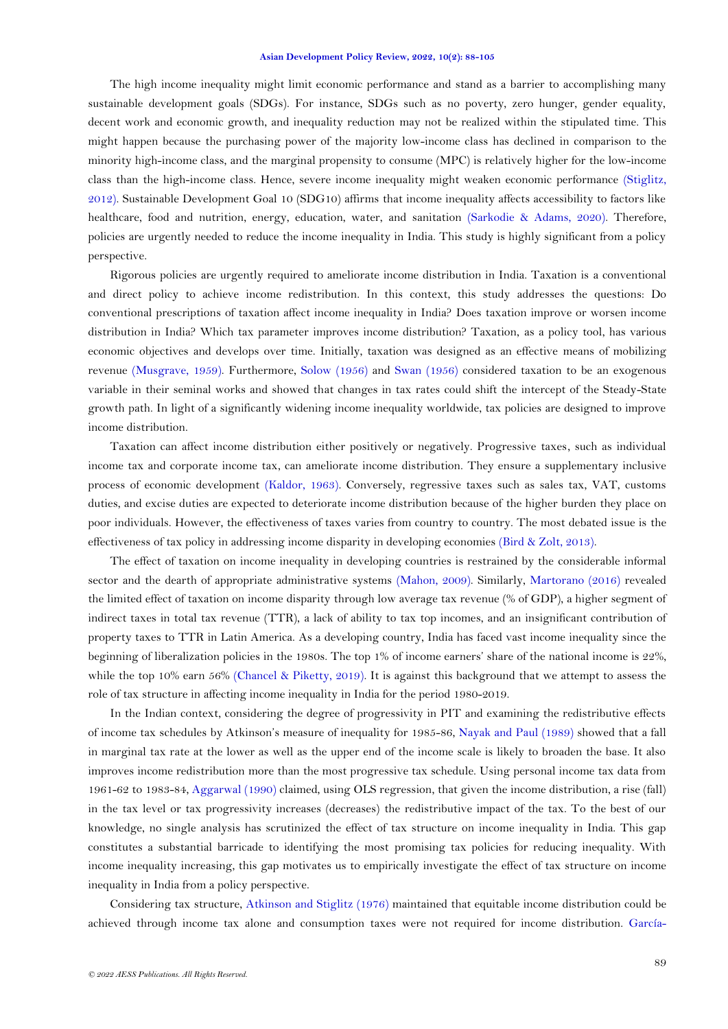The high income inequality might limit economic performance and stand as a barrier to accomplishing many sustainable development goals (SDGs). For instance, SDGs such as no poverty, zero hunger, gender equality, decent work and economic growth, and inequality reduction may not be realized within the stipulated time. This might happen because the purchasing power of the majority low-income class has declined in comparison to the minority high-income class, and the marginal propensity to consume (MPC) is relatively higher for the low-income class than the high-income class. Hence, severe income inequality might weaken economic performance [\(Stiglitz,](#page-17-1)  [2012\)](#page-17-1). Sustainable Development Goal 10 (SDG10) affirms that income inequality affects accessibility to factors like healthcare, food and nutrition, energy, education, water, and sanitation [\(Sarkodie & Adams, 2020\)](#page-17-2). Therefore, policies are urgently needed to reduce the income inequality in India. This study is highly significant from a policy perspective.

Rigorous policies are urgently required to ameliorate income distribution in India. Taxation is a conventional and direct policy to achieve income redistribution. In this context, this study addresses the questions: Do conventional prescriptions of taxation affect income inequality in India? Does taxation improve or worsen income distribution in India? Which tax parameter improves income distribution? Taxation, as a policy tool, has various economic objectives and develops over time. Initially, taxation was designed as an effective means of mobilizing revenue [\(Musgrave, 1959\)](#page-17-3). Furthermore, [Solow \(1956\)](#page-17-4) and [Swan \(1956\)](#page-17-5) considered taxation to be an exogenous variable in their seminal works and showed that changes in tax rates could shift the intercept of the Steady-State growth path. In light of a significantly widening income inequality worldwide, tax policies are designed to improve income distribution.

Taxation can affect income distribution either positively or negatively. Progressive taxes, such as individual income tax and corporate income tax, can ameliorate income distribution. They ensure a supplementary inclusive process of economic development [\(Kaldor, 1963\)](#page-16-1). Conversely, regressive taxes such as sales tax, VAT, customs duties, and excise duties are expected to deteriorate income distribution because of the higher burden they place on poor individuals. However, the effectiveness of taxes varies from country to country. The most debated issue is the effectiveness of tax policy in addressing income disparity in developing economies [\(Bird & Zolt, 2013\)](#page-15-1).

The effect of taxation on income inequality in developing countries is restrained by the considerable informal sector and the dearth of appropriate administrative systems [\(Mahon, 2009\)](#page-17-6). Similarly, [Martorano \(2016\)](#page-17-7) revealed the limited effect of taxation on income disparity through low average tax revenue (% of GDP), a higher segment of indirect taxes in total tax revenue (TTR), a lack of ability to tax top incomes, and an insignificant contribution of property taxes to TTR in Latin America. As a developing country, India has faced vast income inequality since the beginning of liberalization policies in the 1980s. The top 1% of income earners' share of the national income is 22%, while the top 10% earn 56% [\(Chancel & Piketty, 2019\)](#page-15-2). It is against this background that we attempt to assess the role of tax structure in affecting income inequality in India for the period 1980-2019.

In the Indian context, considering the degree of progressivity in PIT and examining the redistributive effects of income tax schedules by Atkinson's measure of inequality for 1985-86, [Nayak and Paul \(1989\)](#page-17-8) showed that a fall in marginal tax rate at the lower as well as the upper end of the income scale is likely to broaden the base. It also improves income redistribution more than the most progressive tax schedule. Using personal income tax data from 1961-62 to 1983-84, [Aggarwal \(1990\)](#page-15-3) claimed, using OLS regression, that given the income distribution, a rise (fall) in the tax level or tax progressivity increases (decreases) the redistributive impact of the tax. To the best of our knowledge, no single analysis has scrutinized the effect of tax structure on income inequality in India. This gap constitutes a substantial barricade to identifying the most promising tax policies for reducing inequality. With income inequality increasing, this gap motivates us to empirically investigate the effect of tax structure on income inequality in India from a policy perspective.

Considering tax structure, [Atkinson and Stiglitz \(1976\)](#page-15-4) maintained that equitable income distribution could be achieved through income tax alone and consumption taxes were not required for income distribution. [García-](#page-16-2)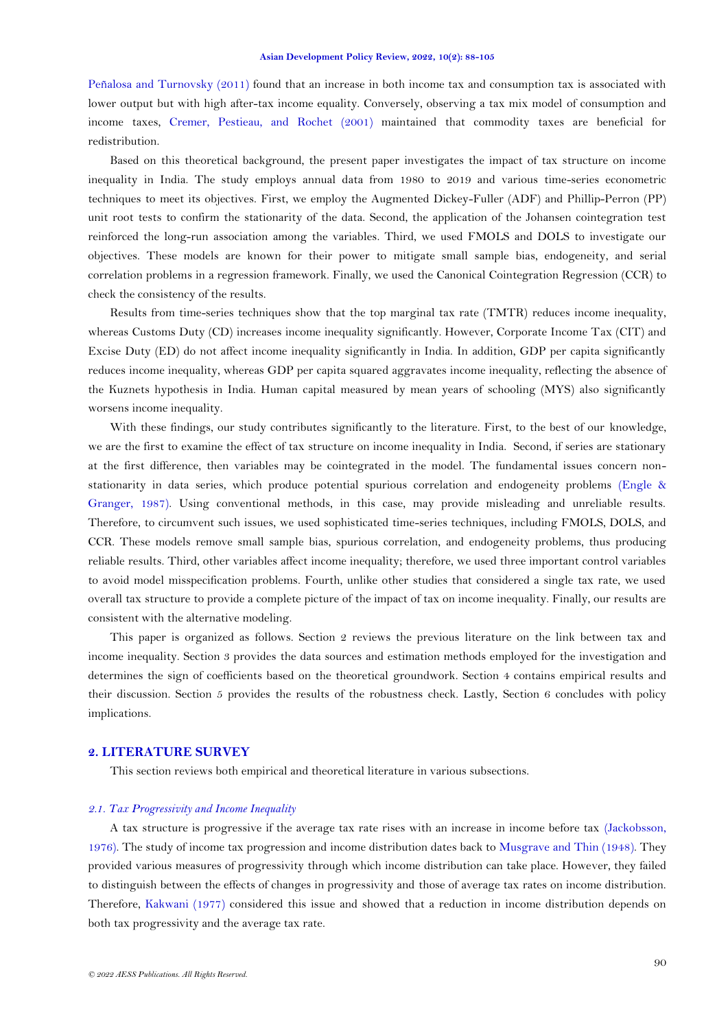[Peñalosa and Turnovsky \(2011\)](#page-16-2) found that an increase in both income tax and consumption tax is associated with lower output but with high after-tax income equality. Conversely, observing a tax mix model of consumption and income taxes, [Cremer, Pestieau, and Rochet \(2001\)](#page-15-5) maintained that commodity taxes are beneficial for redistribution.

Based on this theoretical background, the present paper investigates the impact of tax structure on income inequality in India. The study employs annual data from 1980 to 2019 and various time-series econometric techniques to meet its objectives. First, we employ the Augmented Dickey-Fuller (ADF) and Phillip-Perron (PP) unit root tests to confirm the stationarity of the data. Second, the application of the Johansen cointegration test reinforced the long-run association among the variables. Third, we used FMOLS and DOLS to investigate our objectives. These models are known for their power to mitigate small sample bias, endogeneity, and serial correlation problems in a regression framework. Finally, we used the Canonical Cointegration Regression (CCR) to check the consistency of the results.

Results from time-series techniques show that the top marginal tax rate (TMTR) reduces income inequality, whereas Customs Duty (CD) increases income inequality significantly. However, Corporate Income Tax (CIT) and Excise Duty (ED) do not affect income inequality significantly in India. In addition, GDP per capita significantly reduces income inequality, whereas GDP per capita squared aggravates income inequality, reflecting the absence of the Kuznets hypothesis in India. Human capital measured by mean years of schooling (MYS) also significantly worsens income inequality.

With these findings, our study contributes significantly to the literature. First, to the best of our knowledge, we are the first to examine the effect of tax structure on income inequality in India. Second, if series are stationary at the first difference, then variables may be cointegrated in the model. The fundamental issues concern nonstationarity in data series, which produce potential spurious correlation and endogeneity problems [\(Engle &](#page-16-3)  [Granger, 1987\)](#page-16-3). Using conventional methods, in this case, may provide misleading and unreliable results. Therefore, to circumvent such issues, we used sophisticated time-series techniques, including FMOLS, DOLS, and CCR. These models remove small sample bias, spurious correlation, and endogeneity problems, thus producing reliable results. Third, other variables affect income inequality; therefore, we used three important control variables to avoid model misspecification problems. Fourth, unlike other studies that considered a single tax rate, we used overall tax structure to provide a complete picture of the impact of tax on income inequality. Finally, our results are consistent with the alternative modeling.

This paper is organized as follows. Section 2 reviews the previous literature on the link between tax and income inequality. Section 3 provides the data sources and estimation methods employed for the investigation and determines the sign of coefficients based on the theoretical groundwork. Section 4 contains empirical results and their discussion. Section 5 provides the results of the robustness check. Lastly, Section 6 concludes with policy implications.

# **2. LITERATURE SURVEY**

This section reviews both empirical and theoretical literature in various subsections.

# *2.1. Tax Progressivity and Income Inequality*

A tax structure is progressive if the average tax rate rises with an increase in income before tax [\(Jackobsson,](#page-16-4)  [1976\)](#page-16-4). The study of income tax progression and income distribution dates back to [Musgrave and Thin \(1948\)](#page-17-9). They provided various measures of progressivity through which income distribution can take place. However, they failed to distinguish between the effects of changes in progressivity and those of average tax rates on income distribution. Therefore, [Kakwani \(1977\)](#page-16-5) considered this issue and showed that a reduction in income distribution depends on both tax progressivity and the average tax rate.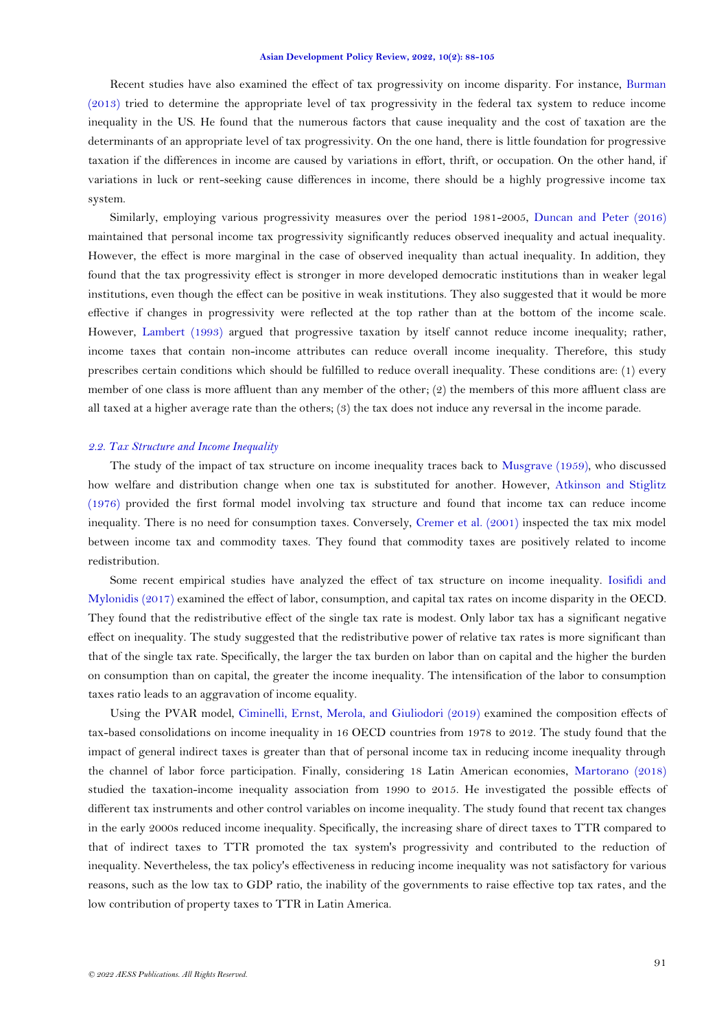Recent studies have also examined the effect of tax progressivity on income disparity. For instance, [Burman](#page-15-6)  [\(2013\)](#page-15-6) tried to determine the appropriate level of tax progressivity in the federal tax system to reduce income inequality in the US. He found that the numerous factors that cause inequality and the cost of taxation are the determinants of an appropriate level of tax progressivity. On the one hand, there is little foundation for progressive taxation if the differences in income are caused by variations in effort, thrift, or occupation. On the other hand, if variations in luck or rent-seeking cause differences in income, there should be a highly progressive income tax system.

Similarly, employing various progressivity measures over the period 1981-2005, [Duncan and Peter \(2016\)](#page-16-6) maintained that personal income tax progressivity significantly reduces observed inequality and actual inequality. However, the effect is more marginal in the case of observed inequality than actual inequality. In addition, they found that the tax progressivity effect is stronger in more developed democratic institutions than in weaker legal institutions, even though the effect can be positive in weak institutions. They also suggested that it would be more effective if changes in progressivity were reflected at the top rather than at the bottom of the income scale. However, [Lambert \(1993\)](#page-16-7) argued that progressive taxation by itself cannot reduce income inequality; rather, income taxes that contain non-income attributes can reduce overall income inequality. Therefore, this study prescribes certain conditions which should be fulfilled to reduce overall inequality. These conditions are: (1) every member of one class is more affluent than any member of the other; (2) the members of this more affluent class are all taxed at a higher average rate than the others; (3) the tax does not induce any reversal in the income parade.

# *2.2. Tax Structure and Income Inequality*

The study of the impact of tax structure on income inequality traces back to [Musgrave \(1959\)](#page-17-3), who discussed how welfare and distribution change when one tax is substituted for another. However, [Atkinson and Stiglitz](#page-15-4)  [\(1976\)](#page-15-4) provided the first formal model involving tax structure and found that income tax can reduce income inequality. There is no need for consumption taxes. Conversely, [Cremer et al. \(2001\)](#page-15-5) inspected the tax mix model between income tax and commodity taxes. They found that commodity taxes are positively related to income redistribution.

Some recent empirical studies have analyzed the effect of tax structure on income inequality. [Iosifidi and](#page-16-8)  [Mylonidis \(2017\)](#page-16-8) examined the effect of labor, consumption, and capital tax rates on income disparity in the OECD. They found that the redistributive effect of the single tax rate is modest. Only labor tax has a significant negative effect on inequality. The study suggested that the redistributive power of relative tax rates is more significant than that of the single tax rate. Specifically, the larger the tax burden on labor than on capital and the higher the burden on consumption than on capital, the greater the income inequality. The intensification of the labor to consumption taxes ratio leads to an aggravation of income equality.

Using the PVAR model, [Ciminelli, Ernst, Merola, and Giuliodori \(2019\)](#page-15-7) examined the composition effects of tax-based consolidations on income inequality in 16 OECD countries from 1978 to 2012. The study found that the impact of general indirect taxes is greater than that of personal income tax in reducing income inequality through the channel of labor force participation. Finally, considering 18 Latin American economies, [Martorano \(2018\)](#page-17-10) studied the taxation-income inequality association from 1990 to 2015. He investigated the possible effects of different tax instruments and other control variables on income inequality. The study found that recent tax changes in the early 2000s reduced income inequality. Specifically, the increasing share of direct taxes to TTR compared to that of indirect taxes to TTR promoted the tax system's progressivity and contributed to the reduction of inequality. Nevertheless, the tax policy's effectiveness in reducing income inequality was not satisfactory for various reasons, such as the low tax to GDP ratio, the inability of the governments to raise effective top tax rates, and the low contribution of property taxes to TTR in Latin America.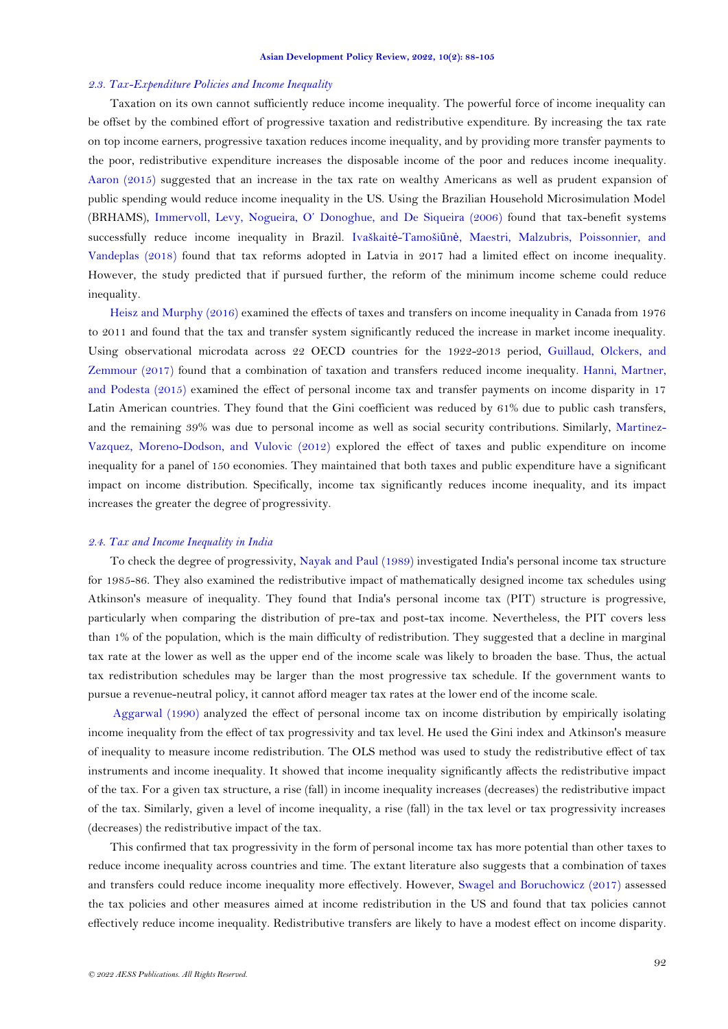### *2.3. Tax-Expenditure Policies and Income Inequality*

Taxation on its own cannot sufficiently reduce income inequality. The powerful force of income inequality can be offset by the combined effort of progressive taxation and redistributive expenditure. By increasing the tax rate on top income earners, progressive taxation reduces income inequality, and by providing more transfer payments to the poor, redistributive expenditure increases the disposable income of the poor and reduces income inequality. [Aaron \(2015\)](#page-15-8) suggested that an increase in the tax rate on wealthy Americans as well as prudent expansion of public spending would reduce income inequality in the US. Using the Brazilian Household Microsimulation Model (BRHAMS), [Immervoll, Levy, Nogueira, O' Donoghue, and De Siqueira \(2006](#page-16-9)) found that tax-benefit systems successfully reduce income inequality in Brazil. Ivaškaitė-Tamošiūnė[, Maestri, Malzubris, Poissonnier, and](#page-16-10)  [Vandeplas \(2018\)](#page-16-10) found that tax reforms adopted in Latvia in 2017 had a limited effect on income inequality. However, the study predicted that if pursued further, the reform of the minimum income scheme could reduce inequality.

Heisz [and Murphy \(2016\)](#page-16-11) examined the effects of taxes and transfers on income inequality in Canada from 1976 to 2011 and found that the tax and transfer system significantly reduced the increase in market income inequality. Using observational microdata across 22 OECD countries for the 1922-2013 period, [Guillaud, Olckers, and](#page-16-12)  [Zemmour \(2017\)](#page-16-12) found that a combination of taxation and transfers reduced income inequality. [Hanni, Martner,](#page-16-13)  [and Podesta \(2015\)](#page-16-13) examined the effect of personal income tax and transfer payments on income disparity in 17 Latin American countries. They found that the Gini coefficient was reduced by 61% due to public cash transfers, and the remaining 39% was due to personal income as well as social security contributions. Similarly, [Martinez-](#page-17-11)[Vazquez, Moreno-Dodson, and Vulovic \(2012\)](#page-17-11) explored the effect of taxes and public expenditure on income inequality for a panel of 150 economies. They maintained that both taxes and public expenditure have a significant impact on income distribution. Specifically, income tax significantly reduces income inequality, and its impact increases the greater the degree of progressivity.

## *2.4. Tax and Income Inequality in India*

To check the degree of progressivity, [Nayak and Paul \(1989\)](#page-17-8) investigated India's personal income tax structure for 1985-86. They also examined the redistributive impact of mathematically designed income tax schedules using Atkinson's measure of inequality. They found that India's personal income tax (PIT) structure is progressive, particularly when comparing the distribution of pre-tax and post-tax income. Nevertheless, the PIT covers less than 1% of the population, which is the main difficulty of redistribution. They suggested that a decline in marginal tax rate at the lower as well as the upper end of the income scale was likely to broaden the base. Thus, the actual tax redistribution schedules may be larger than the most progressive tax schedule. If the government wants to pursue a revenue-neutral policy, it cannot afford meager tax rates at the lower end of the income scale.

[Aggarwal \(1990\)](#page-15-3) analyzed the effect of personal income tax on income distribution by empirically isolating income inequality from the effect of tax progressivity and tax level. He used the Gini index and Atkinson's measure of inequality to measure income redistribution. The OLS method was used to study the redistributive effect of tax instruments and income inequality. It showed that income inequality significantly affects the redistributive impact of the tax. For a given tax structure, a rise (fall) in income inequality increases (decreases) the redistributive impact of the tax. Similarly, given a level of income inequality, a rise (fall) in the tax level or tax progressivity increases (decreases) the redistributive impact of the tax.

This confirmed that tax progressivity in the form of personal income tax has more potential than other taxes to reduce income inequality across countries and time. The extant literature also suggests that a combination of taxes and transfers could reduce income inequality more effectively. However, [Swagel and Boruchowicz \(2017\)](#page-17-12) assessed the tax policies and other measures aimed at income redistribution in the US and found that tax policies cannot effectively reduce income inequality. Redistributive transfers are likely to have a modest effect on income disparity.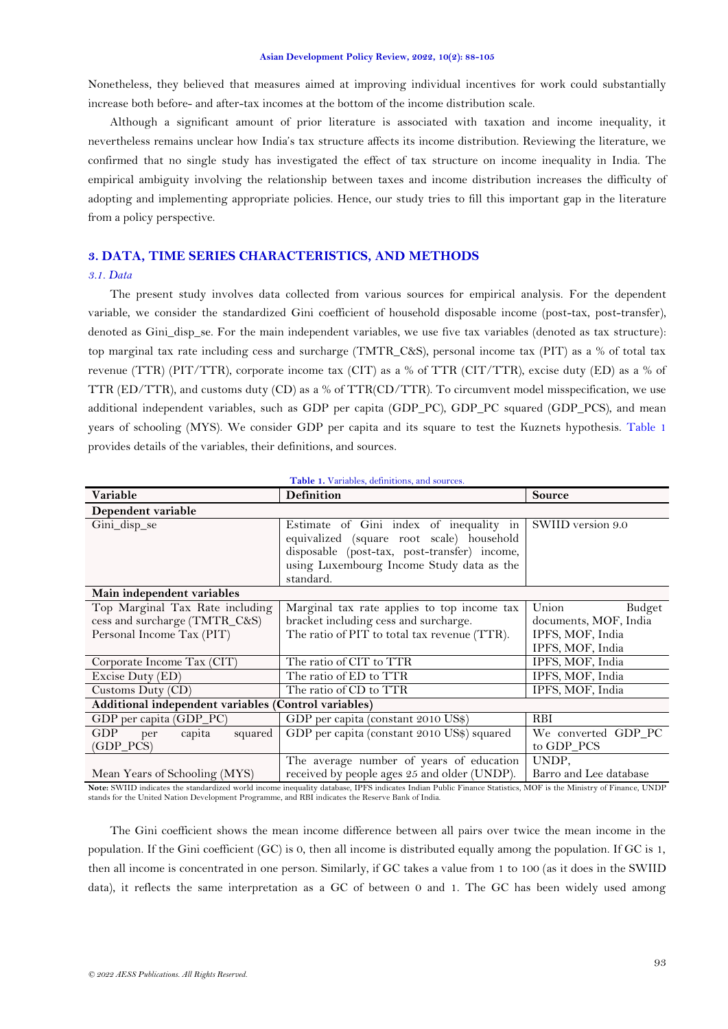Nonetheless, they believed that measures aimed at improving individual incentives for work could substantially increase both before- and after-tax incomes at the bottom of the income distribution scale.

Although a significant amount of prior literature is associated with taxation and income inequality, it nevertheless remains unclear how India's tax structure affects its income distribution. Reviewing the literature, we confirmed that no single study has investigated the effect of tax structure on income inequality in India. The empirical ambiguity involving the relationship between taxes and income distribution increases the difficulty of adopting and implementing appropriate policies. Hence, our study tries to fill this important gap in the literature from a policy perspective.

# **3. DATA, TIME SERIES CHARACTERISTICS, AND METHODS**

# *3.1. Data*

The present study involves data collected from various sources for empirical analysis. For the dependent variable, we consider the standardized Gini coefficient of household disposable income (post-tax, post-transfer), denoted as Gini disp se. For the main independent variables, we use five tax variables (denoted as tax structure): top marginal tax rate including cess and surcharge (TMTR\_C&S), personal income tax (PIT) as a % of total tax revenue (TTR) (PIT/TTR), corporate income tax (CIT) as a % of TTR (CIT/TTR), excise duty (ED) as a % of TTR (ED/TTR), and customs duty (CD) as a % of TTR(CD/TTR). To circumvent model misspecification, we use additional independent variables, such as GDP per capita (GDP\_PC), GDP\_PC squared (GDP\_PCS), and mean years of schooling (MYS). We consider GDP per capita and its square to test the Kuznets hypothesis. [Table 1](#page-5-0) provides details of the variables, their definitions, and sources.

<span id="page-5-0"></span>

| Table 1. Variables, definitions, and sources.                                                 |                                                                                                                                                                                                |                                                                                  |  |  |  |  |
|-----------------------------------------------------------------------------------------------|------------------------------------------------------------------------------------------------------------------------------------------------------------------------------------------------|----------------------------------------------------------------------------------|--|--|--|--|
| Variable                                                                                      | <b>Definition</b>                                                                                                                                                                              | <b>Source</b>                                                                    |  |  |  |  |
| Dependent variable                                                                            |                                                                                                                                                                                                |                                                                                  |  |  |  |  |
| Gini_disp_se                                                                                  | Estimate of Gini index of inequality in<br>equivalized (square root scale) household<br>disposable (post-tax, post-transfer) income,<br>using Luxembourg Income Study data as the<br>standard. | SWIID version 9.0                                                                |  |  |  |  |
| Main independent variables                                                                    |                                                                                                                                                                                                |                                                                                  |  |  |  |  |
| Top Marginal Tax Rate including<br>cess and surcharge (TMTR_C&S)<br>Personal Income Tax (PIT) | Marginal tax rate applies to top income tax<br>bracket including cess and surcharge.<br>The ratio of PIT to total tax revenue (TTR).                                                           | Union<br>Budget<br>documents, MOF, India<br>IPFS, MOF, India<br>IPFS, MOF, India |  |  |  |  |
| Corporate Income Tax (CIT)                                                                    | The ratio of CIT to TTR                                                                                                                                                                        | IPFS, MOF, India                                                                 |  |  |  |  |
| Excise Duty (ED)                                                                              | The ratio of ED to TTR                                                                                                                                                                         | IPFS, MOF, India                                                                 |  |  |  |  |
| Customs Duty (CD)                                                                             | The ratio of CD to TTR                                                                                                                                                                         | IPFS, MOF, India                                                                 |  |  |  |  |
| Additional independent variables (Control variables)                                          |                                                                                                                                                                                                |                                                                                  |  |  |  |  |
| GDP per capita (GDP_PC)                                                                       | GDP per capita (constant 2010 US\$)                                                                                                                                                            | <b>RBI</b>                                                                       |  |  |  |  |
| <b>GDP</b><br>capita<br>squared<br>per<br>$(GDP_PCS)$                                         | GDP per capita (constant 2010 US\$) squared                                                                                                                                                    | We converted GDP PC<br>to GDP_PCS                                                |  |  |  |  |
| Mean Years of Schooling (MYS)                                                                 | The average number of years of education<br>received by people ages 25 and older (UNDP).                                                                                                       | UNDP.<br>Barro and Lee database                                                  |  |  |  |  |

Note: SWIID indicates the standardized world income inequality database, IPFS indicates Indian Public Finance Statistics, MOF is the Ministry of Finance, UNDP<br>stands for the United Nation Development Programme, and RBI ind

The Gini coefficient shows the mean income difference between all pairs over twice the mean income in the population. If the Gini coefficient (GC) is 0, then all income is distributed equally among the population. If GC is 1, then all income is concentrated in one person. Similarly, if GC takes a value from 1 to 100 (as it does in the SWIID data), it reflects the same interpretation as a GC of between 0 and 1. The GC has been widely used among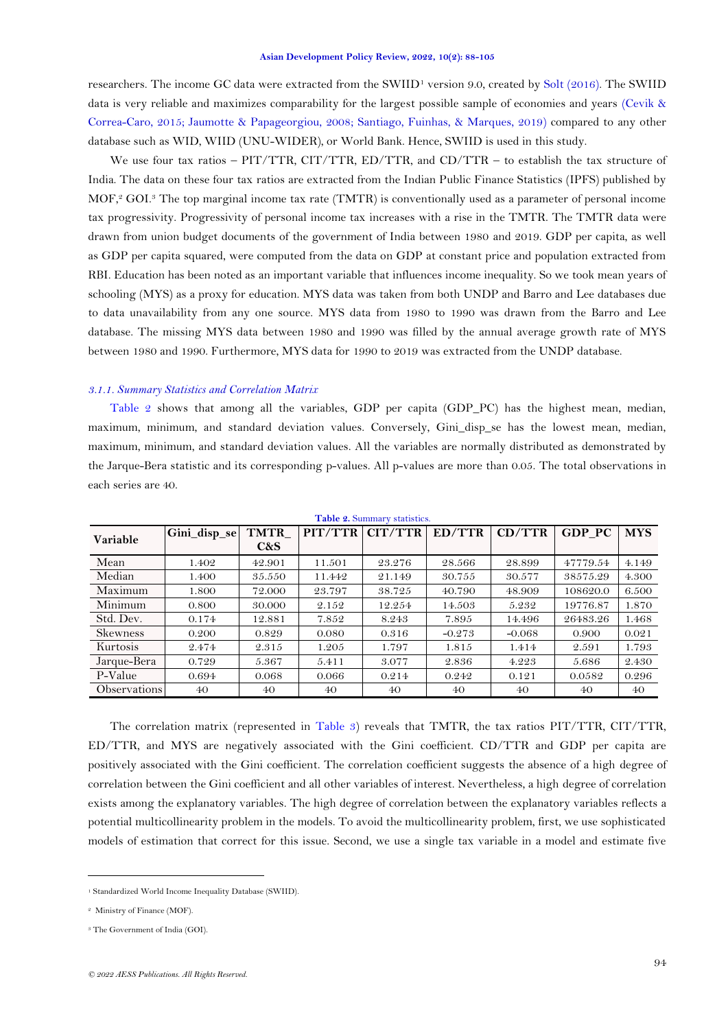researchers. The income GC data were extracted from the SWIID<sup>1</sup> version 9.0, created by [Solt \(2016\)](#page-17-13). The SWIID data is very reliable and maximizes comparability for the largest possible sample of economies and years [\(Cevik &](#page-15-9)  [Correa-Caro, 2015;](#page-15-9) [Jaumotte & Papageorgiou, 2008;](#page-16-14) [Santiago, Fuinhas, & Marques, 2019\)](#page-17-14) compared to any other database such as WID, WIID (UNU-WIDER), or World Bank. Hence, SWIID is used in this study.

We use four tax ratios – PIT/TTR, CIT/TTR, ED/TTR, and CD/TTR – to establish the tax structure of India. The data on these four tax ratios are extracted from the Indian Public Finance Statistics (IPFS) published by MOF, <sup>2</sup> GOI. <sup>3</sup> The top marginal income tax rate (TMTR) is conventionally used as a parameter of personal income tax progressivity. Progressivity of personal income tax increases with a rise in the TMTR. The TMTR data were drawn from union budget documents of the government of India between 1980 and 2019. GDP per capita, as well as GDP per capita squared, were computed from the data on GDP at constant price and population extracted from RBI. Education has been noted as an important variable that influences income inequality. So we took mean years of schooling (MYS) as a proxy for education. MYS data was taken from both UNDP and Barro and Lee databases due to data unavailability from any one source. MYS data from 1980 to 1990 was drawn from the Barro and Lee database. The missing MYS data between 1980 and 1990 was filled by the annual average growth rate of MYS between 1980 and 1990. Furthermore, MYS data for 1990 to 2019 was extracted from the UNDP database.

### *3.1.1. Summary Statistics and Correlation Matrix*

[Table 2](#page-6-0) shows that among all the variables, GDP per capita (GDP\_PC) has the highest mean, median, maximum, minimum, and standard deviation values. Conversely, Gini\_disp\_se has the lowest mean, median, maximum, minimum, and standard deviation values. All the variables are normally distributed as demonstrated by the Jarque-Bera statistic and its corresponding p-values. All p-values are more than 0.05. The total observations in each series are 40.

<span id="page-6-0"></span>

| Table 2. Summary statistics. |              |                    |         |         |          |          |               |            |
|------------------------------|--------------|--------------------|---------|---------|----------|----------|---------------|------------|
| Variable                     | Gini_disp_se | <b>TMTR</b><br>C&S | PIT/TTR | CIT/TTR | ED/TTR   | CD/TTR   | <b>GDP PC</b> | <b>MYS</b> |
| Mean                         | 1.402        | 42.901             | 11.501  | 23.276  | 28.566   | 28.899   | 47779.54      | 4.149      |
| Median                       | 1.400        | 35.550             | 11.442  | 21.149  | 30.755   | 30.577   | 38575.29      | 4.300      |
| Maximum                      | 1.800        | 72.000             | 23.797  | 38.725  | 40.790   | 48.909   | 108620.0      | 6.500      |
| Minimum                      | 0.800        | 30.000             | 2.152   | 12.254  | 14.503   | 5.232    | 19776.87      | 1.870      |
| Std. Dev.                    | 0.174        | 12.881             | 7.852   | 8.243   | 7.895    | 14.496   | 26483.26      | 1.468      |
| <b>Skewness</b>              | 0.200        | 0.829              | 0.080   | 0.316   | $-0.273$ | $-0.068$ | 0.900         | 0.021      |
| Kurtosis                     | 2.474        | 2.315              | 1.205   | 1.797   | 1.815    | 1.414    | 2.591         | 1.793      |
| Jarque-Bera                  | 0.729        | 5.367              | 5.411   | 3.077   | 2.836    | 4.223    | 5.686         | 2.430      |
| P-Value                      | 0.694        | 0.068              | 0.066   | 0.214   | 0.242    | 0.121    | 0.0582        | 0.296      |
| Observations                 | 40           | 40                 | 40      | 40      | 40       | 40       | 40            | 40         |

The correlation matrix (represented in [Table 3\)](#page-7-0) reveals that TMTR, the tax ratios PIT/TTR, CIT/TTR, ED/TTR, and MYS are negatively associated with the Gini coefficient. CD/TTR and GDP per capita are positively associated with the Gini coefficient. The correlation coefficient suggests the absence of a high degree of correlation between the Gini coefficient and all other variables of interest. Nevertheless, a high degree of correlation exists among the explanatory variables. The high degree of correlation between the explanatory variables reflects a potential multicollinearity problem in the models. To avoid the multicollinearity problem, first, we use sophisticated models of estimation that correct for this issue. Second, we use a single tax variable in a model and estimate five

<sup>1</sup> Standardized World Income Inequality Database (SWIID).

<sup>2</sup> Ministry of Finance (MOF).

<sup>&</sup>lt;sup>3</sup> The Government of India (GOI).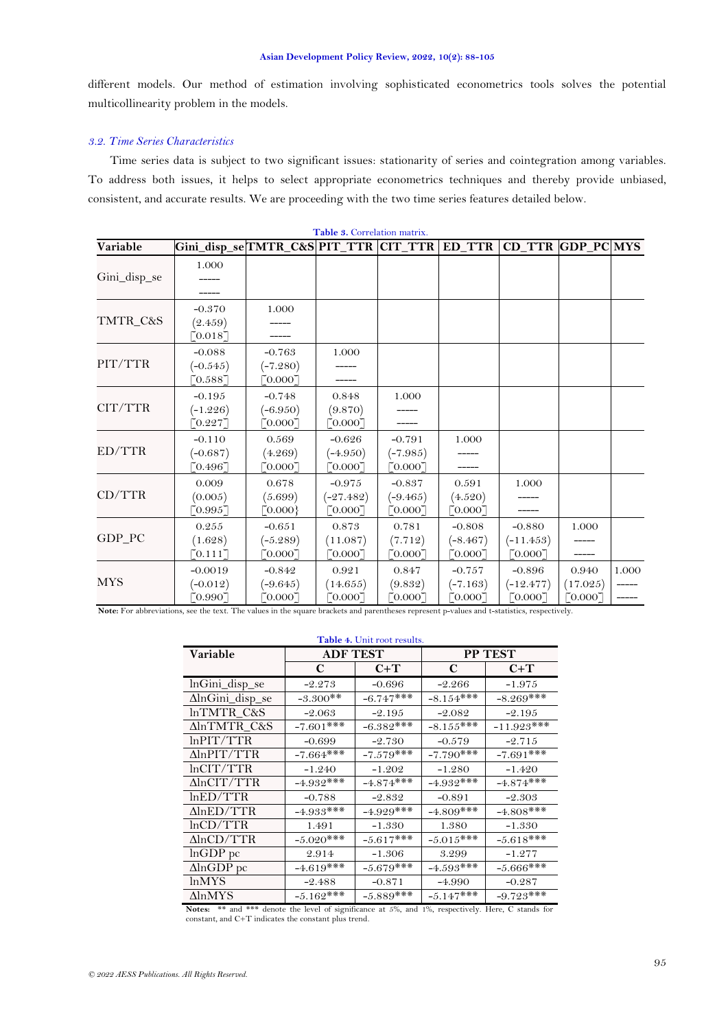different models. Our method of estimation involving sophisticated econometrics tools solves the potential multicollinearity problem in the models.

# *3.2. Time Series Characteristics*

Time series data is subject to two significant issues: stationarity of series and cointegration among variables. To address both issues, it helps to select appropriate econometrics techniques and thereby provide unbiased, consistent, and accurate results. We are proceeding with the two time series features detailed below.

<span id="page-7-0"></span>

| Variable     |                                    |                                   |                                                  |                                   |                                   | CD_TTR GDP_PC MYS                  |                              |       |
|--------------|------------------------------------|-----------------------------------|--------------------------------------------------|-----------------------------------|-----------------------------------|------------------------------------|------------------------------|-------|
| Gini_disp_se | 1.000                              |                                   |                                                  |                                   |                                   |                                    |                              |       |
| TMTR_C&S     | $-0.370$<br>(2.459)<br>[0.018]     | 1.000                             |                                                  |                                   |                                   |                                    |                              |       |
| PIT/TTR      | $-0.088$<br>$(-0.545)$<br>[0.588]  | $-0.763$<br>$(-7.280)$<br>[0.000] | 1.000                                            |                                   |                                   |                                    |                              |       |
| CIT/TTR      | $-0.195$<br>$(-1.226)$<br>[0.227]  | $-0.748$<br>$(-6.950)$<br>[0.000] | 0.848<br>(9.870)<br>[0.000]                      | 1.000                             |                                   |                                    |                              |       |
| ED/TTR       | $-0.110$<br>$(-0.687)$<br>[0.496]  | 0.569<br>(4.269)<br>[0.000]       | $-0.626$<br>$(-4.950)$<br>[0.000]                | $-0.791$<br>$(-7.985)$<br>[0.000] | 1.000<br>-----                    |                                    |                              |       |
| CD/TTR       | 0.009<br>(0.005)<br>[0.995]        | 0.678<br>(5.699)<br>[0.000]       | $-0.975$<br>$(-27.482)$<br>$\lceil 0.000 \rceil$ | $-0.837$<br>$(-9.465)$<br>[0.000] | 0.591<br>(4.520)<br>[0.000]       | 1.000                              |                              |       |
| GDP_PC       | 0.255<br>(1.628)<br>[0.111]        | $-0.651$<br>$(-5.289)$<br>[0.000] | 0.873<br>(11.087)<br>[0.000]                     | 0.781<br>(7.712)<br>[0.000]       | $-0.808$<br>$(-8.467)$<br>[0.000] | $-0.880$<br>$(-11.453)$<br>[0.000] | 1.000<br>-----               |       |
| <b>MYS</b>   | $-0.0019$<br>$(-0.012)$<br>[0.990] | $-0.842$<br>$(-9.645)$<br>[0.000] | 0.921<br>(14.655)<br>[0.000]                     | 0.847<br>(9.832)<br>[0.000]       | $-0.757$<br>$(-7.163)$<br>[0.000] | $-0.896$<br>$(-12.477)$<br>[0.000] | 0.940<br>(17.025)<br>[0.000] | 1.000 |

**Table 3.** Correlation matrix.

<span id="page-7-1"></span>**Note:** For abbreviations, see the text. The values in the square brackets and parentheses represent p-values and t-statistics, respectively.

|                        | Table 4. Unit root results. |              |              |                |  |  |  |  |
|------------------------|-----------------------------|--------------|--------------|----------------|--|--|--|--|
| <b>Variable</b>        | <b>ADF TEST</b>             |              |              | <b>PP TEST</b> |  |  |  |  |
|                        | $C+T$<br>C                  |              | C            | $C+T$          |  |  |  |  |
| lnGini_disp_se         | $-2.273$                    | $-0.696$     | $-2.266$     | $-1.975$       |  |  |  |  |
| AlnGini_disp_se        | $-3.300**$                  | $-6.747***$  | $-8.154***$  | $-8.269$ ***   |  |  |  |  |
| lnTMTR C&S             | $-2.063$                    | $-2.195$     | $-2.082$     | $-2.195$       |  |  |  |  |
| <b>AlnTMTR C&amp;S</b> | $-7.601$ ***                | $-6.382***$  | $-8.155***$  | $-11.923***$   |  |  |  |  |
| $ln$ $PIT/TTR$         | $-0.699$                    | $-2.730$     | $-0.579$     | $-2.715$       |  |  |  |  |
| AlnPIT/TTR             | $-7.664***$                 | $-7.579***$  | $-7.790***$  | $-7.691***$    |  |  |  |  |
| lnCIT/TTR              | $-1.240$                    | $-1.202$     | $-1.280$     | $-1.420$       |  |  |  |  |
| $\Delta$ lnCIT/TTR     | $-4.932***$                 | $-4.874***$  | $-4.932$ *** | $-4.874***$    |  |  |  |  |
| lnED/TTR               | $-0.788$                    | $-2.832$     | $-0.891$     | $-2.303$       |  |  |  |  |
| $\Delta$ lnED/TTR      | $-4.933***$                 | $-4.929$ *** | $-4.809$ *** | $-4.808$ ***   |  |  |  |  |
| lnCD/TTR               | 1.491                       | $-1.330$     | 1.380        | $-1.330$       |  |  |  |  |
| $\Delta$ lnCD/TTR      | $-5.020***$                 | $-5.617***$  | $-5.015***$  | $-5.618***$    |  |  |  |  |
| $lnGDP$ pc             | 2.914                       | $-1.306$     | 3.299        | $-1.277$       |  |  |  |  |
| $\Delta$ lnGDP pc      | $-4.619***$                 | $-5.679***$  | $-4.593***$  | $-5.666$ ***   |  |  |  |  |
| <i>lnMYS</i>           | $-2.488$                    | $-0.871$     | $-4.990$     | $-0.287$       |  |  |  |  |
| ΔlnMYS                 | $-5.162***$                 | $-5.889$ *** | $-5.147***$  | $-9.723***$    |  |  |  |  |

**Notes:** \*\* and \*\*\* denote the level of significance at 5%, and 1%, respectively. Here, C stands for constant, and C+T indicates the constant plus trend.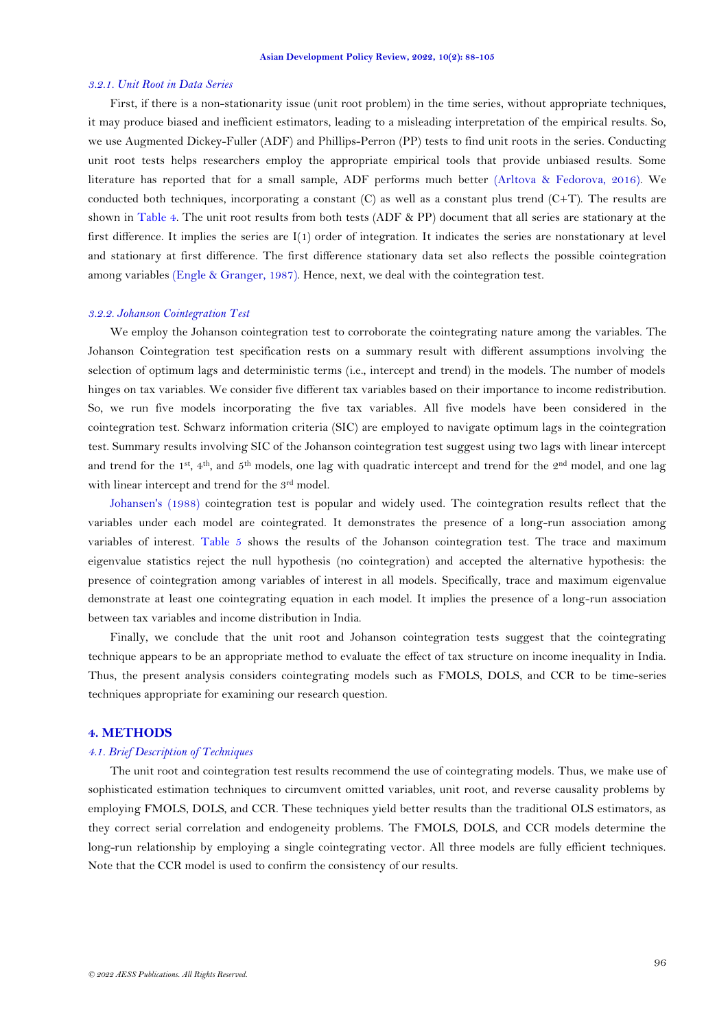### *3.2.1. Unit Root in Data Series*

First, if there is a non-stationarity issue (unit root problem) in the time series, without appropriate techniques, it may produce biased and inefficient estimators, leading to a misleading interpretation of the empirical results. So, we use Augmented Dickey-Fuller (ADF) and Phillips-Perron (PP) tests to find unit roots in the series. Conducting unit root tests helps researchers employ the appropriate empirical tools that provide unbiased results. Some literature has reported that for a small sample, ADF performs much better [\(Arltova & Fedorova, 2016\)](#page-15-10). We conducted both techniques, incorporating a constant  $(C)$  as well as a constant plus trend  $(C+T)$ . The results are shown in [Table 4.](#page-7-1) The unit root results from both tests (ADF & PP) document that all series are stationary at the first difference. It implies the series are I(1) order of integration. It indicates the series are nonstationary at level and stationary at first difference. The first difference stationary data set also reflects the possible cointegration among variables [\(Engle & Granger, 1987\)](#page-16-3). Hence, next, we deal with the cointegration test.

# *3.2.2. Johanson Cointegration Test*

We employ the Johanson cointegration test to corroborate the cointegrating nature among the variables. The Johanson Cointegration test specification rests on a summary result with different assumptions involving the selection of optimum lags and deterministic terms (i.e., intercept and trend) in the models. The number of models hinges on tax variables. We consider five different tax variables based on their importance to income redistribution. So, we run five models incorporating the five tax variables. All five models have been considered in the cointegration test. Schwarz information criteria (SIC) are employed to navigate optimum lags in the cointegration test. Summary results involving SIC of the Johanson cointegration test suggest using two lags with linear intercept and trend for the 1<sup>st</sup>, 4<sup>th</sup>, and 5<sup>th</sup> models, one lag with quadratic intercept and trend for the  $2<sup>nd</sup>$  model, and one lag with linear intercept and trend for the 3<sup>rd</sup> model.

[Johansen's \(1988\)](#page-16-15) cointegration test is popular and widely used. The cointegration results reflect that the variables under each model are cointegrated. It demonstrates the presence of a long-run association among variables of interest. [Table 5](#page-9-0) shows the results of the Johanson cointegration test. The trace and maximum eigenvalue statistics reject the null hypothesis (no cointegration) and accepted the alternative hypothesis: the presence of cointegration among variables of interest in all models. Specifically, trace and maximum eigenvalue demonstrate at least one cointegrating equation in each model. It implies the presence of a long-run association between tax variables and income distribution in India.

Finally, we conclude that the unit root and Johanson cointegration tests suggest that the cointegrating technique appears to be an appropriate method to evaluate the effect of tax structure on income inequality in India. Thus, the present analysis considers cointegrating models such as FMOLS, DOLS, and CCR to be time-series techniques appropriate for examining our research question.

# **4. METHODS**

# *4.1. Brief Description of Techniques*

The unit root and cointegration test results recommend the use of cointegrating models. Thus, we make use of sophisticated estimation techniques to circumvent omitted variables, unit root, and reverse causality problems by employing FMOLS, DOLS, and CCR. These techniques yield better results than the traditional OLS estimators, as they correct serial correlation and endogeneity problems. The FMOLS, DOLS, and CCR models determine the long-run relationship by employing a single cointegrating vector. All three models are fully efficient techniques. Note that the CCR model is used to confirm the consistency of our results.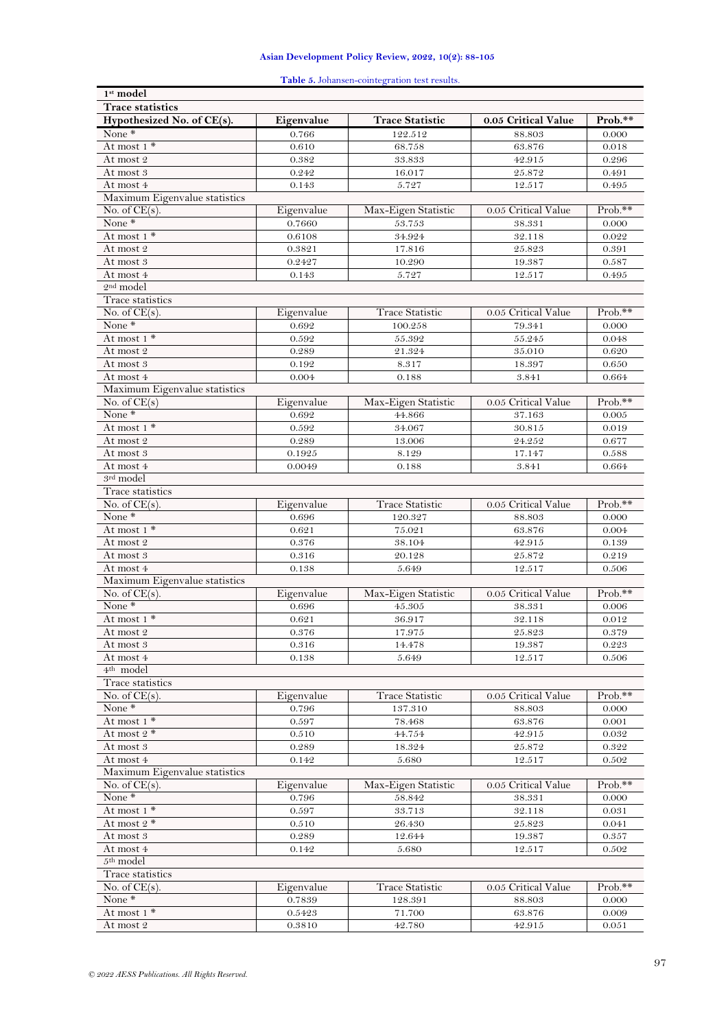**Table 5.** Johansen-cointegration test results.

<span id="page-9-0"></span>

| $1st$ model                               |            |                        |                     |         |
|-------------------------------------------|------------|------------------------|---------------------|---------|
| <b>Trace statistics</b>                   |            |                        |                     |         |
| Hypothesized No. of CE(s).                | Eigenvalue | <b>Trace Statistic</b> | 0.05 Critical Value | Prob.** |
| None $*$                                  | 0.766      | 122.512                | 88.803              | 0.000   |
| At most 1 *                               | 0.610      | 68.758                 | 63.876              | 0.018   |
| At most 2                                 | 0.382      | 33.833                 | 42.915              | 0.296   |
| At most 3                                 | 0.242      | 16.017                 | $25.872\,$          | 0.491   |
| At most 4                                 | 0.143      | 5.727                  | 12.517              | 0.495   |
| Maximum Eigenvalue statistics             |            |                        |                     |         |
| No. of $CE(s)$ .                          | Eigenvalue | Max-Eigen Statistic    | 0.05 Critical Value | Prob.** |
| None*                                     | 0.7660     | 53.753                 | 38.331              | 0.000   |
| At most 1 *                               | 0.6108     | 34.924                 | 32.118              | 0.022   |
| $\operatorname{At} \operatorname{most} 2$ | 0.3821     | 17.816                 | 25.823              | 0.391   |
| At most 3                                 | 0.2427     | 10.290                 | 19.387              | 0.587   |
| At most 4                                 | 0.143      | 5.727                  | 12.517              | 0.495   |
| $2nd$ model                               |            |                        |                     |         |
| Trace statistics                          |            |                        |                     |         |
| No. of $CE(s)$ .                          | Eigenvalue | <b>Trace Statistic</b> | 0.05 Critical Value | Prob.** |
| None <sup>*</sup>                         | 0.692      | 100.258                | 79.341              | 0.000   |
| At most $1$ *                             | 0.592      | 55.392                 | 55.245              | 0.048   |
| At most 2                                 | 0.289      | 21.324                 | 35.010              | 0.620   |
| At most 3                                 | 0.192      | 8.317                  | 18.397              | 0.650   |
| At most 4                                 | 0.004      | 0.188                  | 3.841               | 0.664   |
| Maximum Eigenvalue statistics             |            |                        |                     |         |
| No. of $CE(s)$                            | Eigenvalue | Max-Eigen Statistic    | 0.05 Critical Value | Prob.** |
| None*                                     | 0.692      | 44.866                 | 37.163              | 0.005   |
| At most 1 *                               | 0.592      | 34.067                 | 30.815              | 0.019   |
| At most 2                                 | 0.289      | 13.006                 | 24.252              | 0.677   |
| At most 3                                 | 0.1925     | 8.129                  | 17.147              | 0.588   |
| At most 4                                 | 0.0049     | 0.188                  | 3.841               | 0.664   |
| 3rd model                                 |            |                        |                     |         |
| Trace statistics                          |            |                        |                     |         |
| No. of $CE(s)$ .                          | Eigenvalue | <b>Trace Statistic</b> | 0.05 Critical Value | Prob.** |
| None*                                     | 0.696      | 120.327                | 88.803              | 0.000   |
| At most $1^*$                             | 0.621      | 75.021                 | 63.876              | 0.004   |
| At most 2                                 | 0.376      | 38.104                 | 42.915              | 0.139   |
| At most 3                                 | 0.316      | 20.128                 | 25.872              | 0.219   |
| At most 4                                 | 0.138      | 5.649                  | 12.517              | 0.506   |
| Maximum Eigenvalue statistics             |            |                        |                     | Prob.** |
| No. of $CE(s)$ .<br>None*                 | Eigenvalue | Max-Eigen Statistic    | 0.05 Critical Value |         |
| At most 1 *                               | 0.696      | 45.305                 | 38.331              | 0.006   |
| At most 2                                 | 0.621      | 36.917                 | 32.118              | 0.012   |
|                                           | 0.376      | 17.975                 | 25.823              | 0.379   |
| At most 3<br>At most 4                    | 0.316      | 14.478                 | 19.387              | 0.223   |
| $4th$ model                               | 0.138      | 5.649                  | 12.517              | 0.506   |
| Trace statistics                          |            |                        |                     |         |
| No. of $CE(s)$ .                          | Eigenvalue | <b>Trace Statistic</b> | 0.05 Critical Value | Prob.** |
| None $*$                                  | 0.796      | 137.310                | 88.803              | 0.000   |
| At most 1 *                               | 0.597      | 78.468                 | 63.876              | 0.001   |
| At most 2 *                               | 0.510      | 44.754                 | 42.915              | 0.032   |
| At most 3                                 | 0.289      | 18.324                 | 25.872              | 0.322   |
| At most 4                                 | 0.142      | 5.680                  | 12.517              | 0.502   |
| Maximum Eigenvalue statistics             |            |                        |                     |         |
| No. of $CE(s)$ .                          | Eigenvalue | Max-Eigen Statistic    | 0.05 Critical Value | Prob.** |
| None*                                     | 0.796      | 58.842                 | 38.331              | 0.000   |
| At most 1 *                               | 0.597      | 33.713                 | 32.118              | 0.031   |
| At most $2$ *                             | 0.510      | 26.430                 | 25.823              | 0.041   |
| At most 3                                 | 0.289      | 12.644                 | 19.387              | 0.357   |
| At most 4                                 | 0.142      | 5.680                  | 12.517              | 0.502   |
| $5th$ model                               |            |                        |                     |         |
| Trace statistics                          |            |                        |                     |         |
| No. of $CE(s)$ .                          | Eigenvalue | <b>Trace Statistic</b> | 0.05 Critical Value | Prob.** |
| None $*$                                  | 0.7839     | 128.391                | 88.803              | 0.000   |
| At most $1$ *                             | 0.5423     | 71.700                 | 63.876              | 0.009   |
| At most 2                                 | 0.3810     | $42.780\,$             | 42.915              | 0.051   |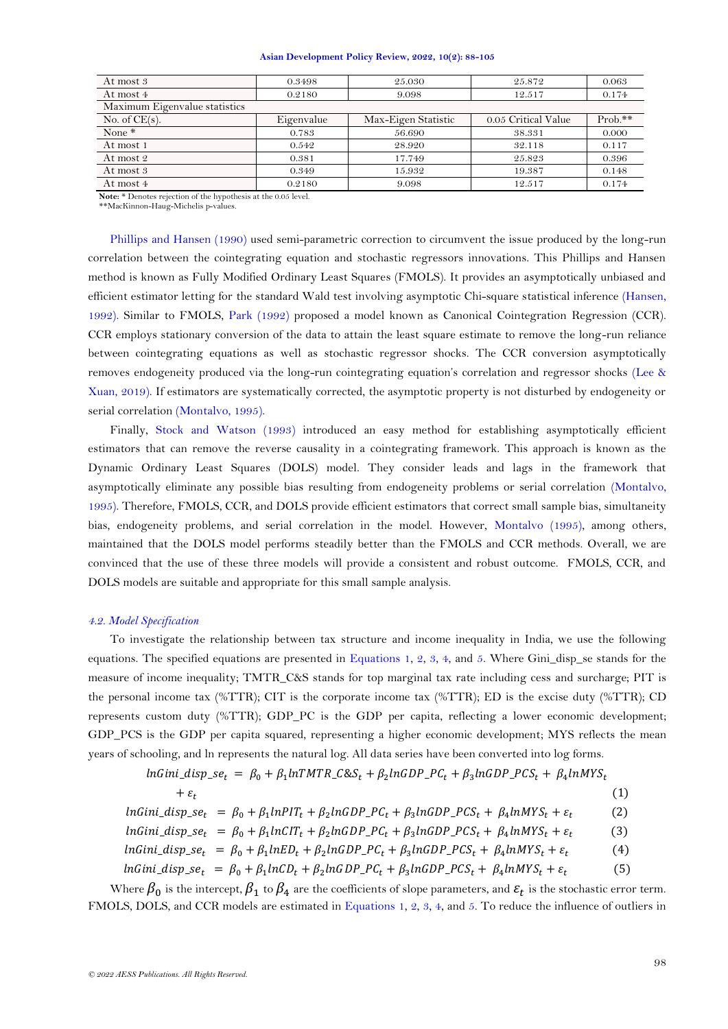| 0.3498     | 25.030              | 25.872              | 0.063     |
|------------|---------------------|---------------------|-----------|
| 0.2180     | 9.098               | 12.517              | 0.174     |
|            |                     |                     |           |
| Eigenvalue | Max-Eigen Statistic | 0.05 Critical Value | $Prob.**$ |
| 0.783      | 56.690              | 38.331              | 0.000     |
| 0.542      | 28.920              | 32.118              | 0.117     |
| 0.381      | 17.749              | 25.823              | 0.396     |
| 0.349      | 15.932              | 19.387              | 0.148     |
| 0.2180     | 9.098               | 12.517              | 0.174     |
|            |                     |                     |           |

**Note:** \* Denotes rejection of the hypothesis at the 0.05 level.

\*\*MacKinnon-Haug-Michelis p-values.

[Phillips and Hansen \(1990\)](#page-17-15) used semi-parametric correction to circumvent the issue produced by the long-run correlation between the cointegrating equation and stochastic regressors innovations. This Phillips and Hansen method is known as Fully Modified Ordinary Least Squares (FMOLS). It provides an asymptotically unbiased and efficient estimator letting for the standard Wald test involving asymptotic Chi-square statistical inference [\(Hansen,](#page-16-16)  [1992\)](#page-16-16). Similar to FMOLS, [Park \(1992\)](#page-17-16) proposed a model known as Canonical Cointegration Regression (CCR). CCR employs stationary conversion of the data to attain the least square estimate to remove the long-run reliance between cointegrating equations as well as stochastic regressor shocks. The CCR conversion asymptotically removes endogeneity produced via the long-run cointegrating equation's correlation and regressor shocks [\(Lee &](#page-16-17)  [Xuan, 2019\)](#page-16-17). If estimators are systematically corrected, the asymptotic property is not disturbed by endogeneity or serial correlation [\(Montalvo, 1995\)](#page-17-17).

Finally, [Stock and Watson \(1993\)](#page-17-18) introduced an easy method for establishing asymptotically efficient estimators that can remove the reverse causality in a cointegrating framework. This approach is known as the Dynamic Ordinary Least Squares (DOLS) model. They consider leads and lags in the framework that asymptotically eliminate any possible bias resulting from endogeneity problems or serial correlation [\(Montalvo,](#page-17-17)  [1995\)](#page-17-17). Therefore, FMOLS, CCR, and DOLS provide efficient estimators that correct small sample bias, simultaneity bias, endogeneity problems, and serial correlation in the model. However, [Montalvo \(1995\)](#page-17-17), among others, maintained that the DOLS model performs steadily better than the FMOLS and CCR methods. Overall, we are convinced that the use of these three models will provide a consistent and robust outcome. FMOLS, CCR, and DOLS models are suitable and appropriate for this small sample analysis.

## *4.2. Model Specification*

To investigate the relationship between tax structure and income inequality in India, we use the following equations. The specified equations are presented in [Equations 1,](#page-10-0) [2,](#page-10-1) [3,](#page-10-2) [4,](#page-10-3) and [5.](#page-10-4) Where Gini\_disp\_se stands for the measure of income inequality; TMTR\_C&S stands for top marginal tax rate including cess and surcharge; PIT is the personal income tax (%TTR); CIT is the corporate income tax (%TTR); ED is the excise duty (%TTR); CD represents custom duty (%TTR); GDP PC is the GDP per capita, reflecting a lower economic development; GDP\_PCS is the GDP per capita squared, representing a higher economic development; MYS reflects the mean years of schooling, and ln represents the natural log. All data series have been converted into log forms.

<span id="page-10-2"></span><span id="page-10-1"></span><span id="page-10-0"></span>

| $lnGini\_disp\_se_t = \beta_0 + \beta_1 lnTMTR\_C\&S_t + \beta_2 lnGDP\_PC_t + \beta_3 lnGDP\_PCS_t + \beta_4 lnMYS_t$          |     |
|---------------------------------------------------------------------------------------------------------------------------------|-----|
| $+ \varepsilon_{\star}$                                                                                                         | (1) |
| $lnGini\_disp\_se_t = \beta_0 + \beta_1 lnPIT_t + \beta_2 lnGDP\_PC_t + \beta_3 lnGDP\_PCs_t + \beta_4 lnMYS_t + \varepsilon_t$ | (2) |

$$
lnGini\_disp\_se_t = \beta_0 + \beta_1 lnCIT_t + \beta_2 lnGDP\_PC_t + \beta_3 lnGDP\_PC_t + \beta_4 lnMYS_t + \varepsilon_t
$$
 (3)

<span id="page-10-3"></span>
$$
lnGini\_disp\_se_t = \beta_0 + \beta_1 lnED_t + \beta_2 lnGDP\_PC_t + \beta_3 lnGDP\_PCS_t + \beta_4 lnMYS_t + \varepsilon_t
$$
\n(4)  
\n
$$
lnGini\_disp\_se_t = \beta_0 + \beta_1 lnCD_t + \beta_2 lnGDP\_PC_t + \beta_3 lnGDP\_PCS_t + \beta_4 lnMYS_t + \varepsilon_t
$$

<span id="page-10-4"></span>Where  $\beta_0$  is the intercept,  $\beta_1$  to  $\beta_4$  are the coefficients of slope parameters, and  $\varepsilon_t$  is the stochastic error term. FMOLS, DOLS, and CCR models are estimated in [Equations 1,](#page-10-0) [2,](#page-10-1) [3,](#page-10-2) [4,](#page-10-3) and [5.](#page-10-4) To reduce the influence of outliers in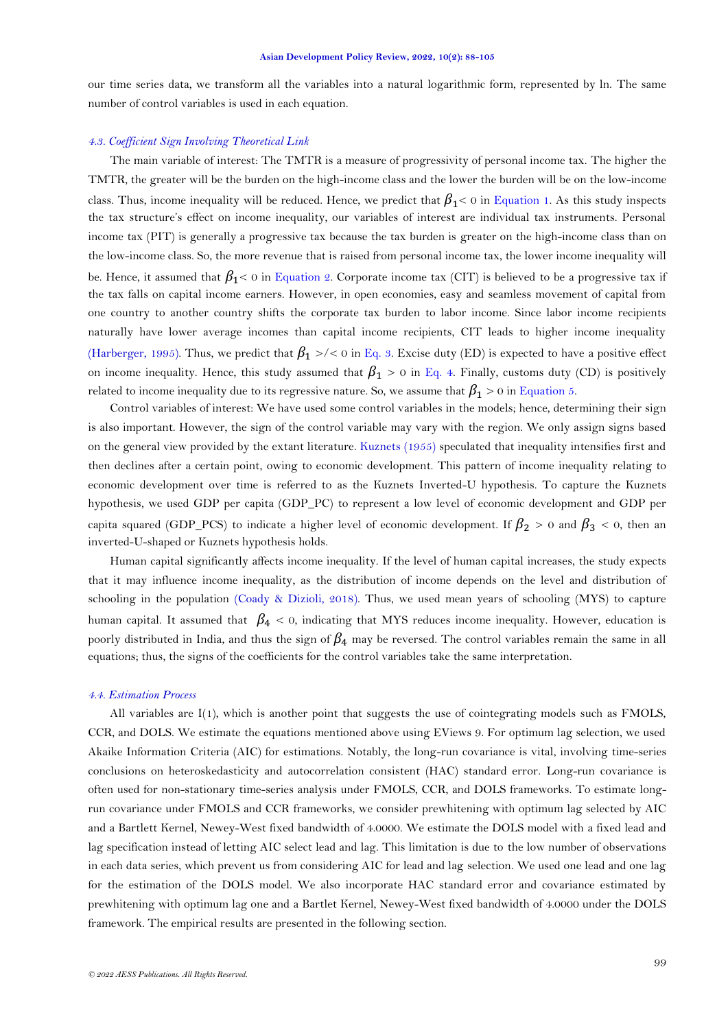our time series data, we transform all the variables into a natural logarithmic form, represented by ln. The same number of control variables is used in each equation.

# *4.3. Coefficient Sign Involving Theoretical Link*

The main variable of interest: The TMTR is a measure of progressivity of personal income tax. The higher the TMTR, the greater will be the burden on the high-income class and the lower the burden will be on the low-income class. Thus, income inequality will be reduced. Hence, we predict that  $\beta_1 < 0$  in [Equation](#page-10-0) 1. As this study inspects the tax structure's effect on income inequality, our variables of interest are individual tax instruments. Personal income tax (PIT) is generally a progressive tax because the tax burden is greater on the high-income class than on the low-income class. So, the more revenue that is raised from personal income tax, the lower income inequality will be. Hence, it assumed that  $\beta_1$ < 0 in [Equation](#page-10-1) 2. Corporate income tax (CIT) is believed to be a progressive tax if the tax falls on capital income earners. However, in open economies, easy and seamless movement of capital from one country to another country shifts the corporate tax burden to labor income. Since labor income recipients naturally have lower average incomes than capital income recipients, CIT leads to higher income inequality [\(Harberger, 1995\)](#page-16-18). Thus, we predict that  $\beta_1$  >/< 0 in [Eq. 3.](#page-10-2) Excise duty (ED) is expected to have a positive effect on income inequality. Hence, this study assumed that  $\beta_1 > 0$  in [Eq. 4.](#page-10-3) Finally, customs duty (CD) is positively related to income inequality due to its regressive nature. So, we assume that  $\beta_1 > 0$  in [Equation](#page-10-4) 5.

Control variables of interest: We have used some control variables in the models; hence, determining their sign is also important. However, the sign of the control variable may vary with the region. We only assign signs based on the general view provided by the extant literature. [Kuznets \(1955\)](#page-16-19) speculated that inequality intensifies first and then declines after a certain point, owing to economic development. This pattern of income inequality relating to economic development over time is referred to as the Kuznets Inverted-U hypothesis. To capture the Kuznets hypothesis, we used GDP per capita (GDP\_PC) to represent a low level of economic development and GDP per capita squared (GDP\_PCS) to indicate a higher level of economic development. If  $\beta_2 > 0$  and  $\beta_3 < 0$ , then an inverted-U-shaped or Kuznets hypothesis holds.

Human capital significantly affects income inequality. If the level of human capital increases, the study expects that it may influence income inequality, as the distribution of income depends on the level and distribution of schooling in the population [\(Coady & Dizioli, 2018\)](#page-15-11). Thus, we used mean years of schooling (MYS) to capture human capital. It assumed that  $\beta_4 < 0$ , indicating that MYS reduces income inequality. However, education is poorly distributed in India, and thus the sign of  $\beta_4$  may be reversed. The control variables remain the same in all equations; thus, the signs of the coefficients for the control variables take the same interpretation.

### *4.4. Estimation Process*

All variables are I(1), which is another point that suggests the use of cointegrating models such as FMOLS, CCR, and DOLS. We estimate the equations mentioned above using EViews 9. For optimum lag selection, we used Akaike Information Criteria (AIC) for estimations. Notably, the long-run covariance is vital, involving time-series conclusions on heteroskedasticity and autocorrelation consistent (HAC) standard error. Long-run covariance is often used for non-stationary time-series analysis under FMOLS, CCR, and DOLS frameworks. To estimate longrun covariance under FMOLS and CCR frameworks, we consider prewhitening with optimum lag selected by AIC and a Bartlett Kernel, Newey-West fixed bandwidth of 4.0000. We estimate the DOLS model with a fixed lead and lag specification instead of letting AIC select lead and lag. This limitation is due to the low number of observations in each data series, which prevent us from considering AIC for lead and lag selection. We used one lead and one lag for the estimation of the DOLS model. We also incorporate HAC standard error and covariance estimated by prewhitening with optimum lag one and a Bartlet Kernel, Newey-West fixed bandwidth of 4.0000 under the DOLS framework. The empirical results are presented in the following section.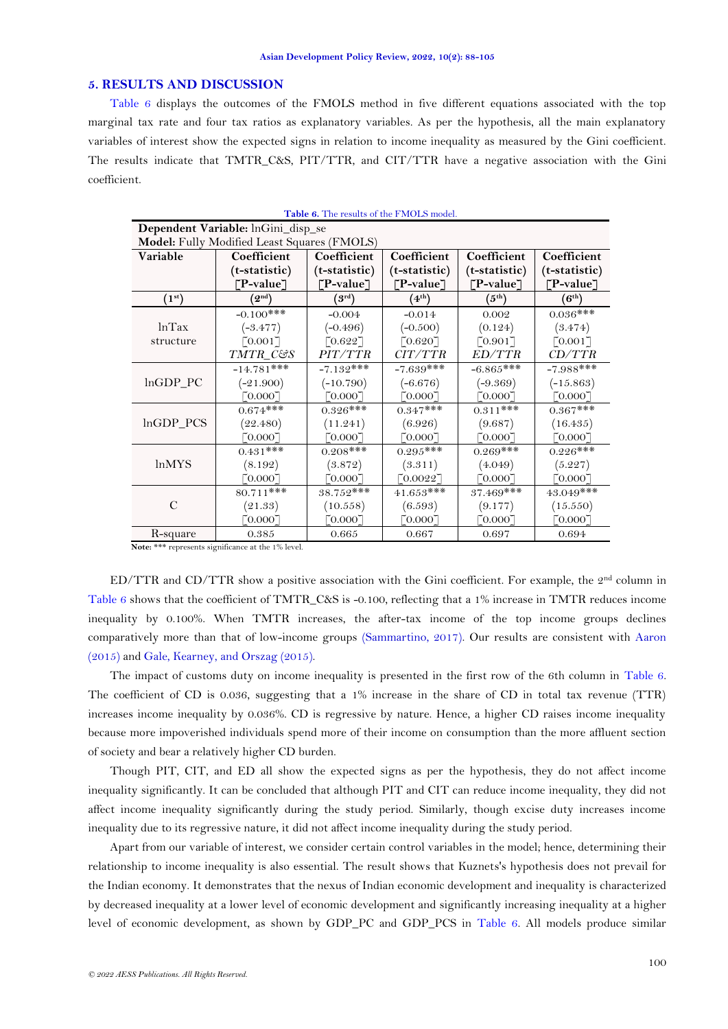## **5. RESULTS AND DISCUSSION**

[Table 6](#page-12-0) displays the outcomes of the FMOLS method in five different equations associated with the top marginal tax rate and four tax ratios as explanatory variables. As per the hypothesis, all the main explanatory variables of interest show the expected signs in relation to income inequality as measured by the Gini coefficient. The results indicate that TMTR\_C&S, PIT/TTR, and CIT/TTR have a negative association with the Gini coefficient.

<span id="page-12-0"></span>

|              | Dependent Variable: lnGini_disp_se          |                                |                       |                           |                       |  |  |  |
|--------------|---------------------------------------------|--------------------------------|-----------------------|---------------------------|-----------------------|--|--|--|
|              | Model: Fully Modified Least Squares (FMOLS) |                                |                       |                           |                       |  |  |  |
| Variable     | Coefficient                                 | Coefficient                    | Coefficient           | Coefficient               | Coefficient           |  |  |  |
|              | (t-statistic)                               | (t-statistic)                  | (t-statistic)         | (t-statistic)             | (t-statistic)         |  |  |  |
|              | $\lceil P\text{-value} \rceil$              | $\lceil P\text{-value} \rceil$ | [TP-value]            | $\lceil$ P-value $\rceil$ | [TP-value]            |  |  |  |
| $(1^{st})$   | $^\prime 2^{\rm nd})$                       | $(3^{\rm rd})$                 | $(4^{\text{th}})$     | (5 <sup>th</sup> )        | $(6^{th})$            |  |  |  |
|              | $-0.100$ ***                                | $-0.004$                       | $-0.014$              | 0.002                     | $0.036***$            |  |  |  |
| lnTax        | $(-3.477)$                                  | $(-0.496)$                     | $(-0.500)$            | (0.124)                   | (3.474)               |  |  |  |
| structure    | $\lceil 0.001 \rceil$                       | $\lceil 0.622 \rceil$          | [0.620]               | [0.901]                   | $\lceil 0.001 \rceil$ |  |  |  |
|              | TMTR_C&S                                    | PIT/TTR                        | CIT/TTR               | ED/TTR                    | CD/TTR                |  |  |  |
|              | $-14.781$ ***                               | $-7.132***$                    | $-7.639$ ***          | $-6.865***$               | $-7.988$ ***          |  |  |  |
| $lnGDP_PC$   | $(-21.900)$                                 | $(-10.790)$                    | $(-6.676)$            | $(-9.369)$                | $(-15.863)$           |  |  |  |
|              | [0.000]                                     | [0.0007]                       | [0.000]               | [0.0007]                  | $\lceil 0.000 \rceil$ |  |  |  |
|              | $0.674***$                                  | $0.326***$                     | $0.347***$            | $0.311***$                | $0.367***$            |  |  |  |
| lnGDP_PCS    | (22.480)                                    | (11.241)                       | (6.926)               | (9.687)                   | (16.435)              |  |  |  |
|              | $\lceil 0.000 \rceil$                       | [0.0007]                       | [0.0007]              | $\lceil 0.000 \rceil$     | [0.0007]              |  |  |  |
|              | $0.431$ ***                                 | $0.208***$                     | $0.295***$            | $0.269***$                | $0.226***$            |  |  |  |
| <i>lnMYS</i> | (8.192)                                     | (3.872)                        | (3.311)               | (4.049)                   | (5.227)               |  |  |  |
|              | $\lceil 0.000 \rceil$                       | [0.0007]                       | [0.0022]              | [0.0007]                  | [0.0007]              |  |  |  |
|              | $80.711***$                                 | $38.752***$                    | $41.653***$           | $37.469$ ***              | $43.049***$           |  |  |  |
| C            | (21.33)                                     | (10.558)                       | (6.593)               | (9.177)                   | (15.550)              |  |  |  |
|              | [0.0007]                                    | $\lceil 0.000 \rceil$          | $\lceil 0.000 \rceil$ | $\lceil 0.000 \rceil$     | $\lceil 0.000 \rceil$ |  |  |  |
| R-square     | 0.385                                       | 0.665                          | 0.667                 | 0.697                     | 0.694                 |  |  |  |

**Table 6.** The results of the FMOLS model.

**Note:** \*\*\* represents significance at the 1% level.

ED/TTR and CD/TTR show a positive association with the Gini coefficient. For example, the 2nd column in [Table 6](#page-12-0) shows that the coefficient of TMTR\_C&S is -0.100, reflecting that a 1% increase in TMTR reduces income inequality by 0.100%. When TMTR increases, the after-tax income of the top income groups declines comparatively more than that of low-income groups [\(Sammartino, 2017\)](#page-17-19). Our results are consistent with [Aaron](#page-15-8)  [\(2015\)](#page-15-8) and [Gale, Kearney, and Orszag \(2015\)](#page-16-20).

The impact of customs duty on income inequality is presented in the first row of the 6th column in [Table 6.](#page-12-0) The coefficient of CD is 0.036, suggesting that a 1% increase in the share of CD in total tax revenue (TTR) increases income inequality by 0.036%. CD is regressive by nature. Hence, a higher CD raises income inequality because more impoverished individuals spend more of their income on consumption than the more affluent section of society and bear a relatively higher CD burden.

Though PIT, CIT, and ED all show the expected signs as per the hypothesis, they do not affect income inequality significantly. It can be concluded that although PIT and CIT can reduce income inequality, they did not affect income inequality significantly during the study period. Similarly, though excise duty increases income inequality due to its regressive nature, it did not affect income inequality during the study period.

Apart from our variable of interest, we consider certain control variables in the model; hence, determining their relationship to income inequality is also essential. The result shows that Kuznets's hypothesis does not prevail for the Indian economy. It demonstrates that the nexus of Indian economic development and inequality is characterized by decreased inequality at a lower level of economic development and significantly increasing inequality at a higher level of economic development, as shown by GDP\_PC and GDP\_PCS in [Table 6.](#page-12-0) All models produce similar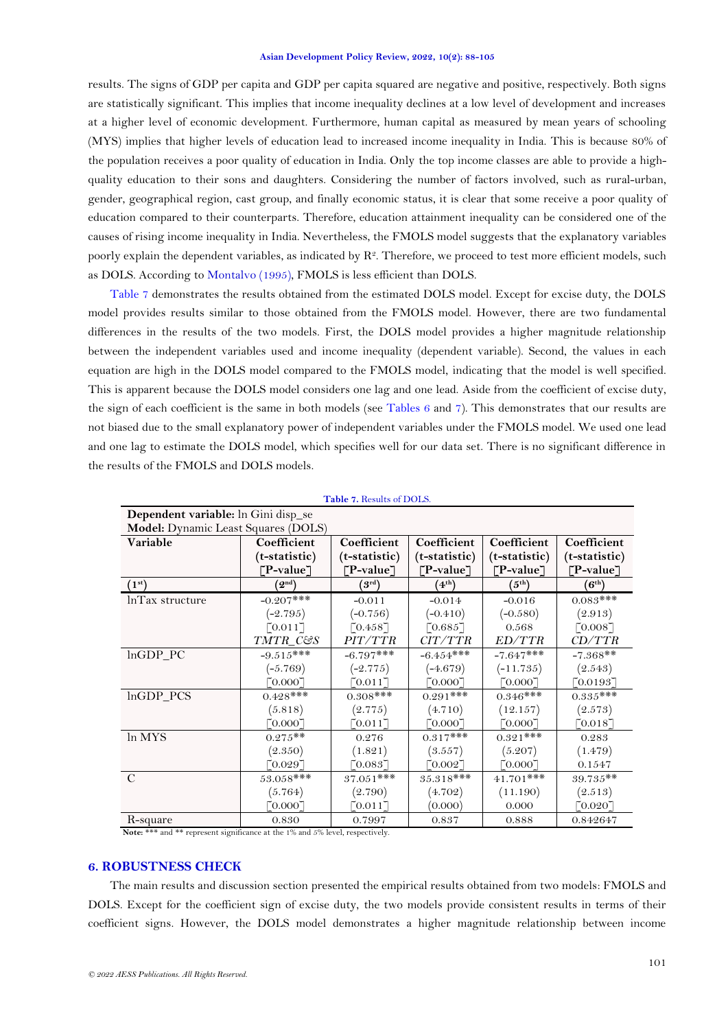results. The signs of GDP per capita and GDP per capita squared are negative and positive, respectively. Both signs are statistically significant. This implies that income inequality declines at a low level of development and increases at a higher level of economic development. Furthermore, human capital as measured by mean years of schooling (MYS) implies that higher levels of education lead to increased income inequality in India. This is because 80% of the population receives a poor quality of education in India. Only the top income classes are able to provide a highquality education to their sons and daughters. Considering the number of factors involved, such as rural-urban, gender, geographical region, cast group, and finally economic status, it is clear that some receive a poor quality of education compared to their counterparts. Therefore, education attainment inequality can be considered one of the causes of rising income inequality in India. Nevertheless, the FMOLS model suggests that the explanatory variables poorly explain the dependent variables, as indicated by  $R^2$ . Therefore, we proceed to test more efficient models, such as DOLS. According to [Montalvo \(1995\)](#page-17-17), FMOLS is less efficient than DOLS.

[Table 7](#page-13-0) demonstrates the results obtained from the estimated DOLS model. Except for excise duty, the DOLS model provides results similar to those obtained from the FMOLS model. However, there are two fundamental differences in the results of the two models. First, the DOLS model provides a higher magnitude relationship between the independent variables used and income inequality (dependent variable). Second, the values in each equation are high in the DOLS model compared to the FMOLS model, indicating that the model is well specified. This is apparent because the DOLS model considers one lag and one lead. Aside from the coefficient of excise duty, the sign of each coefficient is the same in both models (see [Tables](#page-12-0) 6 and [7\)](#page-13-0). This demonstrates that our results are not biased due to the small explanatory power of independent variables under the FMOLS model. We used one lead and one lag to estimate the DOLS model, which specifies well for our data set. There is no significant difference in the results of the FMOLS and DOLS models.

<span id="page-13-0"></span>

| Dependent variable: In Gini disp_se |                                |                       |                       |                       |                       |  |  |  |
|-------------------------------------|--------------------------------|-----------------------|-----------------------|-----------------------|-----------------------|--|--|--|
| Model: Dynamic Least Squares (DOLS) |                                |                       |                       |                       |                       |  |  |  |
| Variable                            | Coefficient                    | Coefficient           | Coefficient           | Coefficient           | Coefficient           |  |  |  |
|                                     | (t-statistic)                  | (t-statistic)         | (t-statistic)         | (t-statistic)         | (t-statistic)         |  |  |  |
|                                     | $\lceil P\text{-value} \rceil$ | [P-value]             | [TP-value]            | ["P-value             | ["P-value             |  |  |  |
| (1 <sup>st</sup> )                  | $\mathbf{Q}^{\mathrm{nd}}$     | $^{9}$ rd)            | $4^{th}$              | $(5^{\rm th})$        | $(6^{th})$            |  |  |  |
| lnTax structure                     | $-0.207***$                    | $-0.011$              | $-0.014$              | $-0.016$              | $0.083$ ***           |  |  |  |
|                                     | $(-2.795)$                     | $(-0.756)$            | $(-0.410)$            | $(-0.580)$            | (2.913)               |  |  |  |
|                                     | [0.011]                        | [0.458]               | [0.685]               | 0.568                 | [0.008]               |  |  |  |
|                                     | TMTR_C&S                       | PIT/TTR               | CIT/TTR               | ED/TTR                | CD/TTR                |  |  |  |
| $lnGDP_PC$                          | $-9.515***$                    | $-6.797**$            | $-6.454***$           | $-7.647***$           | $-7.368**$            |  |  |  |
|                                     | $(-5.769)$                     | $(-2.775)$            | $(-4.679)$            | $(-11.735)$           | (2.543)               |  |  |  |
|                                     | 0.0007                         | 70.011                | [0.0007]              | $\lceil 0.000 \rceil$ | [0.0193]              |  |  |  |
| lnGDP_PCS                           | $0.428***$                     | $0.308***$            | $0.291$ ***           | $0.346***$            | $0.335***$            |  |  |  |
|                                     | (5.818)                        | (2.775)               | (4.710)               | (12.157)              | (2.573)               |  |  |  |
|                                     | $\lceil 0.000 \rceil$          | $\lceil 0.011 \rceil$ | $\lceil 0.000 \rceil$ | [0.000]               | [0.018]               |  |  |  |
| ln MYS                              | $0.275**$                      | 0.276                 | $0.317***$            | $0.321***$            | 0.283                 |  |  |  |
|                                     | (2.350)                        | (1.821)               | (3.557)               | (5.207)               | (1.479)               |  |  |  |
|                                     | $\lceil 0.029 \rceil$          | [0.083]               | [0.002]               | [0.000]               | 0.1547                |  |  |  |
| $\mathbf C$                         | $53.058***$                    | $37.051***$           | $35.318***$           | $41.701***$           | $39.735**$            |  |  |  |
|                                     | (5.764)                        | (2.790)               | (4.702)               | (11.190)              | (2.513)               |  |  |  |
|                                     | $\lceil 0.000 \rceil$          | $0.011$ ]             | (0.000)               | 0.000                 | $\lceil 0.020 \rceil$ |  |  |  |
| R-square                            | 0.830                          | 0.7997                | 0.837                 | 0.888                 | 0.842647              |  |  |  |

|  |  | Table 7. Results of DOLS. |  |  |
|--|--|---------------------------|--|--|
|--|--|---------------------------|--|--|

**Note:** \*\*\* and \*\* represent significance at the 1% and 5% level, respectively.

# **6. ROBUSTNESS CHECK**

The main results and discussion section presented the empirical results obtained from two models: FMOLS and DOLS. Except for the coefficient sign of excise duty, the two models provide consistent results in terms of their coefficient signs. However, the DOLS model demonstrates a higher magnitude relationship between income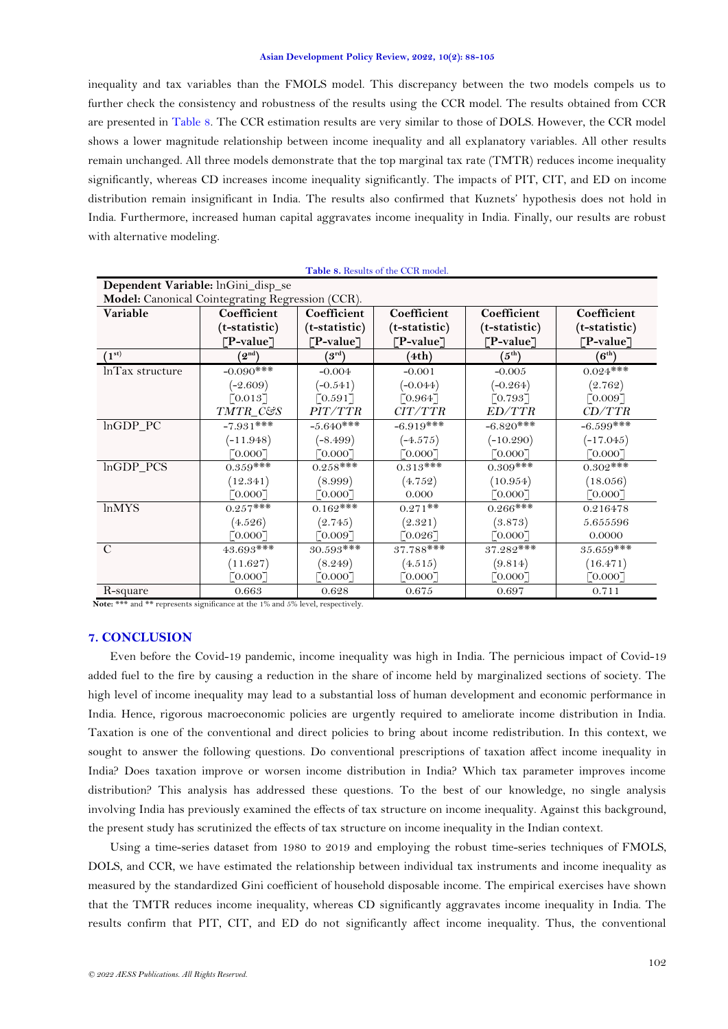inequality and tax variables than the FMOLS model. This discrepancy between the two models compels us to further check the consistency and robustness of the results using the CCR model. The results obtained from CCR are presented in [Table 8.](#page-14-0) The CCR estimation results are very similar to those of DOLS. However, the CCR model shows a lower magnitude relationship between income inequality and all explanatory variables. All other results remain unchanged. All three models demonstrate that the top marginal tax rate (TMTR) reduces income inequality significantly, whereas CD increases income inequality significantly. The impacts of PIT, CIT, and ED on income distribution remain insignificant in India. The results also confirmed that Kuznets' hypothesis does not hold in India. Furthermore, increased human capital aggravates income inequality in India. Finally, our results are robust with alternative modeling.

**Table 8.** Results of the CCR model.

<span id="page-14-0"></span>

|                    |                                                  |                       | <b>Table 8.</b> Results of the CCR model. |                       |                               |  |  |  |
|--------------------|--------------------------------------------------|-----------------------|-------------------------------------------|-----------------------|-------------------------------|--|--|--|
|                    | Dependent Variable: lnGini_disp_se               |                       |                                           |                       |                               |  |  |  |
|                    | Model: Canonical Cointegrating Regression (CCR). |                       |                                           |                       |                               |  |  |  |
| Variable           | Coefficient                                      | Coefficient           | Coefficient                               | Coefficient           | Coefficient                   |  |  |  |
|                    | (t-statistic)                                    | (t-statistic)         | (t-statistic)                             | (t-statistic)         | (t-statistic)                 |  |  |  |
|                    | [P-value]                                        | ⊺P-value ]            | [P-value]                                 | [P-value]             | [TP-value]                    |  |  |  |
| (1 <sup>st</sup> ) | $\left(2^{\text{nd}}\right)$                     | $^{4}$ $\rm{3^{rd}})$ | (4th)                                     | (5 <sup>th</sup> )    | $\langle 6^\text{th} \rangle$ |  |  |  |
| InTax structure    | $-0.090$ ***                                     | $-0.004$              | $-0.001$                                  | $-0.005$              | $0.024***$                    |  |  |  |
|                    | $(-2.609)$                                       | $(-0.541)$            | $(-0.044)$                                | $(-0.264)$            | (2.762)                       |  |  |  |
|                    | $\lceil 0.013 \rceil$                            | $\lceil 0.591 \rceil$ | $\lceil 0.964 \rceil$                     | $\lceil 0.793 \rceil$ | $\lceil 0.009 \rceil$         |  |  |  |
|                    | TMTR_C&S                                         | <i>PIT/TTR</i>        | CIT/TTR                                   | ED/TTR                | CD/TTR                        |  |  |  |
| lnGDP PC           | $-7.931$ ***                                     | $-5.640***$           | $-6.919***$                               | $-6.820***$           | $-6.599***$                   |  |  |  |
|                    | $(-11.948)$                                      | $(-8.499)$            | $(-4.575)$                                | $(-10.290)$           | $(-17.045)$                   |  |  |  |
|                    | [0.0007]                                         | 0.0007                | $\lceil 0.000 \rceil$                     | $\lceil 0.000 \rceil$ | [0.0007]                      |  |  |  |
| lnGDP PCS          | $0.359***$                                       | $0.258***$            | $0.313***$                                | $0.309$ ***           | $0.302$ ***                   |  |  |  |
|                    | (12.341)                                         | (8.999)               | (4.752)                                   | (10.954)              | (18.056)                      |  |  |  |
|                    | 0.0007                                           | 0.0007                | 0.000                                     | $\lceil 0.000 \rceil$ | [0.0007]                      |  |  |  |
| <b>lnMYS</b>       | $0.257***$                                       | $0.162$ ***           | $0.271**$                                 | $0.266$ ***           | 0.216478                      |  |  |  |
|                    | (4.526)                                          | (2.745)               | (2.321)                                   | (3.873)               | 5.655596                      |  |  |  |
|                    | 0.0007                                           | [0.0097]              | $\lceil 0.026 \rceil$                     | $\lceil 0.000 \rceil$ | 0.0000                        |  |  |  |
| $\mathcal{C}$      | 43.693***                                        | $30.593***$           | 37.788***                                 | 37.282***             | $35.659***$                   |  |  |  |
|                    | (11.627)                                         | (8.249)               | (4.515)                                   | (9.814)               | (16.471)                      |  |  |  |
|                    | 0.0007                                           | 70.0007               | $\lceil 0.000 \rceil$                     | [0.0007]              | $\lceil 0.000 \rceil$         |  |  |  |
| R-square           | 0.663                                            | 0.628                 | 0.675                                     | 0.697                 | 0.711                         |  |  |  |

Note: \*\*\* and \*\* represents significance at the 1% and 5% level, respectively.

# **7. CONCLUSION**

Even before the Covid-19 pandemic, income inequality was high in India. The pernicious impact of Covid-19 added fuel to the fire by causing a reduction in the share of income held by marginalized sections of society. The high level of income inequality may lead to a substantial loss of human development and economic performance in India. Hence, rigorous macroeconomic policies are urgently required to ameliorate income distribution in India. Taxation is one of the conventional and direct policies to bring about income redistribution. In this context, we sought to answer the following questions. Do conventional prescriptions of taxation affect income inequality in India? Does taxation improve or worsen income distribution in India? Which tax parameter improves income distribution? This analysis has addressed these questions. To the best of our knowledge, no single analysis involving India has previously examined the effects of tax structure on income inequality. Against this background, the present study has scrutinized the effects of tax structure on income inequality in the Indian context.

Using a time-series dataset from 1980 to 2019 and employing the robust time-series techniques of FMOLS, DOLS, and CCR, we have estimated the relationship between individual tax instruments and income inequality as measured by the standardized Gini coefficient of household disposable income. The empirical exercises have shown that the TMTR reduces income inequality, whereas CD significantly aggravates income inequality in India. The results confirm that PIT, CIT, and ED do not significantly affect income inequality. Thus, the conventional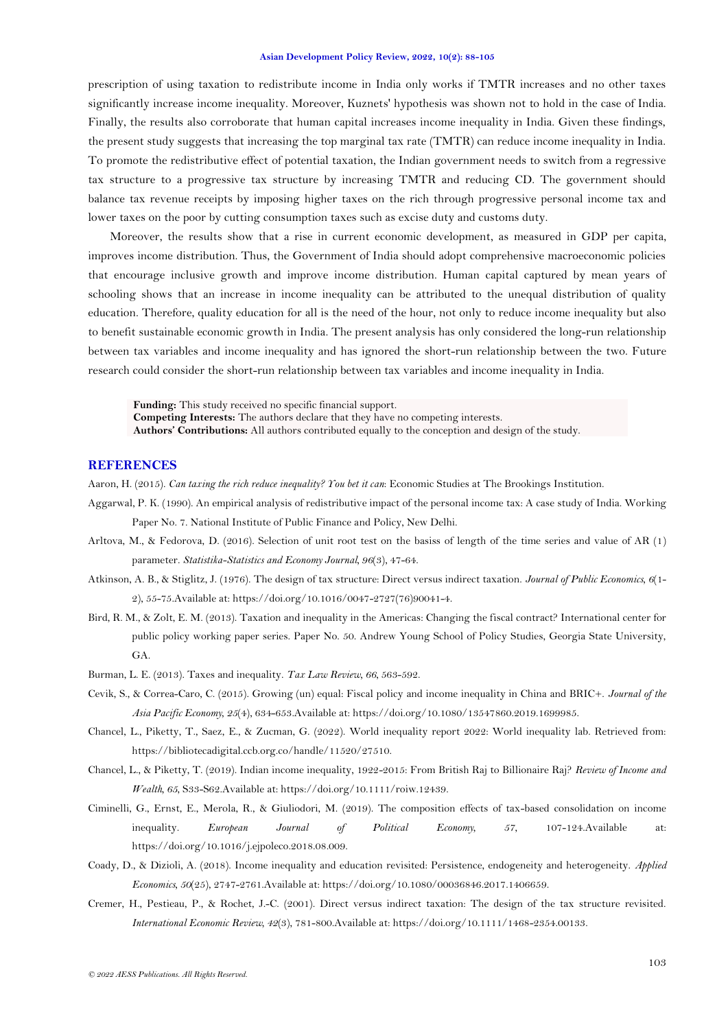prescription of using taxation to redistribute income in India only works if TMTR increases and no other taxes significantly increase income inequality. Moreover, Kuznets' hypothesis was shown not to hold in the case of India. Finally, the results also corroborate that human capital increases income inequality in India. Given these findings, the present study suggests that increasing the top marginal tax rate (TMTR) can reduce income inequality in India. To promote the redistributive effect of potential taxation, the Indian government needs to switch from a regressive tax structure to a progressive tax structure by increasing TMTR and reducing CD. The government should balance tax revenue receipts by imposing higher taxes on the rich through progressive personal income tax and lower taxes on the poor by cutting consumption taxes such as excise duty and customs duty.

Moreover, the results show that a rise in current economic development, as measured in GDP per capita, improves income distribution. Thus, the Government of India should adopt comprehensive macroeconomic policies that encourage inclusive growth and improve income distribution. Human capital captured by mean years of schooling shows that an increase in income inequality can be attributed to the unequal distribution of quality education. Therefore, quality education for all is the need of the hour, not only to reduce income inequality but also to benefit sustainable economic growth in India. The present analysis has only considered the long-run relationship between tax variables and income inequality and has ignored the short-run relationship between the two. Future research could consider the short-run relationship between tax variables and income inequality in India.

**Funding:** This study received no specific financial support. **Competing Interests:** The authors declare that they have no competing interests. **Authors' Contributions:** All authors contributed equally to the conception and design of the study.

# **REFERENCES**

<span id="page-15-8"></span>Aaron, H. (2015). *Can taxing the rich reduce inequality? You bet it can*: Economic Studies at The Brookings Institution.

- <span id="page-15-3"></span>Aggarwal, P. K. (1990). An empirical analysis of redistributive impact of the personal income tax: A case study of India. Working Paper No. 7. National Institute of Public Finance and Policy, New Delhi.
- <span id="page-15-10"></span>Arltova, M., & Fedorova, D. (2016). Selection of unit root test on the basiss of length of the time series and value of AR (1) parameter. *Statistika-Statistics and Economy Journal, 96*(3), 47-64.
- <span id="page-15-4"></span>Atkinson, A. B., & Stiglitz, J. (1976). The design of tax structure: Direct versus indirect taxation. *Journal of Public Economics, 6*(1- 2), 55-75.Available at: https://doi.org/10.1016/0047-2727(76)90041-4.
- <span id="page-15-1"></span>Bird, R. M., & Zolt, E. M. (2013). Taxation and inequality in the Americas: Changing the fiscal contract? International center for public policy working paper series. Paper No. 50. Andrew Young School of Policy Studies, Georgia State University, GA.
- <span id="page-15-6"></span>Burman, L. E. (2013). Taxes and inequality. *Tax Law Review, 66*, 563-592.
- <span id="page-15-9"></span>Cevik, S., & Correa-Caro, C. (2015). Growing (un) equal: Fiscal policy and income inequality in China and BRIC+. *Journal of the Asia Pacific Economy, 25*(4), 634-653.Available at: https://doi.org/10.1080/13547860.2019.1699985.
- <span id="page-15-0"></span>Chancel, L., Piketty, T., Saez, E., & Zucman, G. (2022). World inequality report 2022: World inequality lab. Retrieved from: https://bibliotecadigital.ccb.org.co/handle/11520/27510.
- <span id="page-15-2"></span>Chancel, L., & Piketty, T. (2019). Indian income inequality, 1922-2015: From British Raj to Billionaire Raj? *Review of Income and Wealth, 65*, S33-S62.Available at: https://doi.org/10.1111/roiw.12439.
- <span id="page-15-7"></span>Ciminelli, G., Ernst, E., Merola, R., & Giuliodori, M. (2019). The composition effects of tax-based consolidation on income inequality. *European Journal of Political Economy, 57*, 107-124.Available at: https://doi.org/10.1016/j.ejpoleco.2018.08.009.
- <span id="page-15-11"></span>Coady, D., & Dizioli, A. (2018). Income inequality and education revisited: Persistence, endogeneity and heterogeneity. *Applied Economics, 50*(25), 2747-2761.Available at: https://doi.org/10.1080/00036846.2017.1406659.
- <span id="page-15-5"></span>Cremer, H., Pestieau, P., & Rochet, J.-C. (2001). Direct versus indirect taxation: The design of the tax structure revisited. *International Economic Review, 42*(3), 781-800.Available at: https://doi.org/10.1111/1468-2354.00133.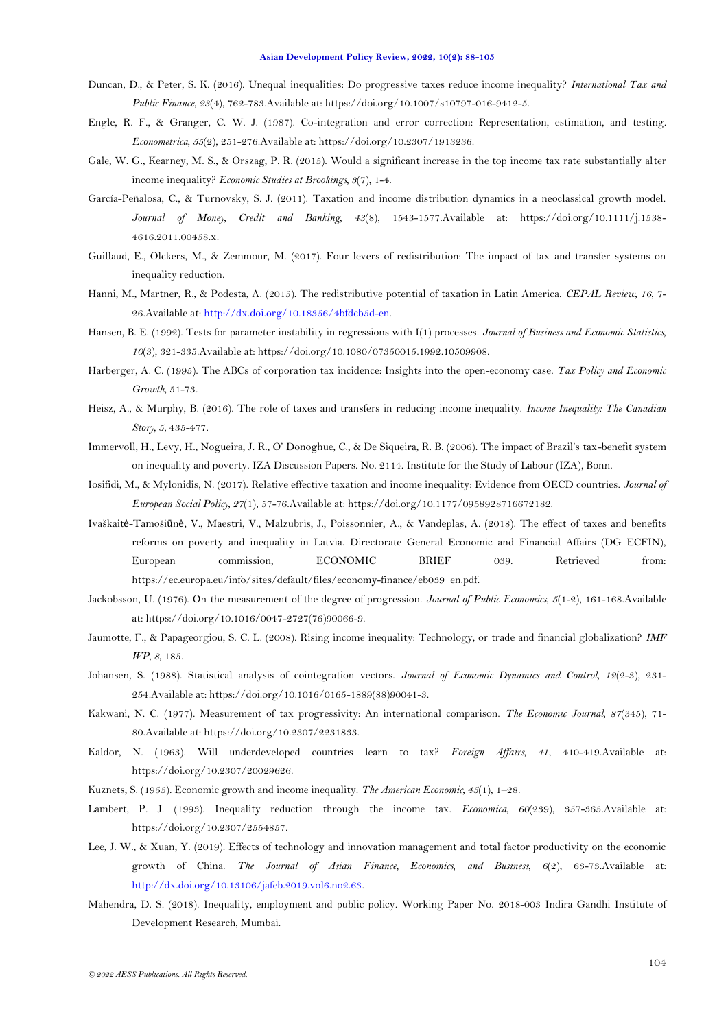- <span id="page-16-6"></span>Duncan, D., & Peter, S. K. (2016). Unequal inequalities: Do progressive taxes reduce income inequality? *International Tax and Public Finance, 23*(4), 762-783.Available at: https://doi.org/10.1007/s10797-016-9412-5.
- <span id="page-16-3"></span>Engle, R. F., & Granger, C. W. J. (1987). Co-integration and error correction: Representation, estimation, and testing. *Econometrica, 55*(2), 251-276.Available at: https://doi.org/10.2307/1913236.
- <span id="page-16-20"></span>Gale, W. G., Kearney, M. S., & Orszag, P. R. (2015). Would a significant increase in the top income tax rate substantially alter income inequality? *Economic Studies at Brookings, 3*(7), 1-4.
- <span id="page-16-2"></span>García-Peñalosa, C., & Turnovsky, S. J. (2011). Taxation and income distribution dynamics in a neoclassical growth model. *Journal of Money, Credit and Banking, 43*(8), 1543-1577.Available at: https://doi.org/10.1111/j.1538- 4616.2011.00458.x.
- <span id="page-16-12"></span>Guillaud, E., Olckers, M., & Zemmour, M. (2017). Four levers of redistribution: The impact of tax and transfer systems on inequality reduction.
- <span id="page-16-13"></span>Hanni, M., Martner, R., & Podesta, A. (2015). The redistributive potential of taxation in Latin America. *CEPAL Review, 16*, 7- 26.Available at: [http://dx.doi.org/10.18356/4bfdcb5d-en.](http://dx.doi.org/10.18356/4bfdcb5d-en)
- <span id="page-16-16"></span>Hansen, B. E. (1992). Tests for parameter instability in regressions with I(1) processes. *Journal of Business and Economic Statistics, 10*(3), 321-335.Available at: https://doi.org/10.1080/07350015.1992.10509908.
- <span id="page-16-18"></span>Harberger, A. C. (1995). The ABCs of corporation tax incidence: Insights into the open-economy case. *Tax Policy and Economic Growth*, 51-73.
- <span id="page-16-11"></span>Heisz, A., & Murphy, B. (2016). The role of taxes and transfers in reducing income inequality. *Income Inequality: The Canadian Story, 5*, 435-477.
- <span id="page-16-9"></span>Immervoll, H., Levy, H., Nogueira, J. R., O' Donoghue, C., & De Siqueira, R. B. (2006). The impact of Brazil's tax-benefit system on inequality and poverty. IZA Discussion Papers. No. 2114. Institute for the Study of Labour (IZA), Bonn.
- <span id="page-16-8"></span>Iosifidi, M., & Mylonidis, N. (2017). Relative effective taxation and income inequality: Evidence from OECD countries. *Journal of European Social Policy, 27*(1), 57-76.Available at: https://doi.org/10.1177/0958928716672182.
- <span id="page-16-10"></span>Ivaškaitė-Tamošiūnė, V., Maestri, V., Malzubris, J., Poissonnier, A., & Vandeplas, A. (2018). The effect of taxes and benefits reforms on poverty and inequality in Latvia. Directorate General Economic and Financial Affairs (DG ECFIN), European commission, ECONOMIC BRIEF 039. Retrieved from: https://ec.europa.eu/info/sites/default/files/economy-finance/eb039\_en.pdf.
- <span id="page-16-4"></span>Jackobsson, U. (1976). On the measurement of the degree of progression. *Journal of Public Economics, 5*(1-2), 161-168.Available at: https://doi.org/10.1016/0047-2727(76)90066-9.
- <span id="page-16-14"></span>Jaumotte, F., & Papageorgiou, S. C. L. (2008). Rising income inequality: Technology, or trade and financial globalization? *IMF WP, 8*, 185.
- <span id="page-16-15"></span>Johansen, S. (1988). Statistical analysis of cointegration vectors. *Journal of Economic Dynamics and Control, 12*(2-3), 231-254.Available at: https://doi.org/10.1016/0165-1889(88)90041-3.
- <span id="page-16-5"></span>Kakwani, N. C. (1977). Measurement of tax progressivity: An international comparison. *The Economic Journal, 87*(345), 71- 80.Available at: https://doi.org/10.2307/2231833.
- <span id="page-16-1"></span>Kaldor, N. (1963). Will underdeveloped countries learn to tax? *Foreign Affairs, 41*, 410-419.Available at: https://doi.org/10.2307/20029626.
- <span id="page-16-19"></span>Kuznets, S. (1955). Economic growth and income inequality. *The American Economic, 45*(1), 1–28.
- <span id="page-16-7"></span>Lambert, P. J. (1993). Inequality reduction through the income tax. *Economica, 60*(239), 357-365.Available at: https://doi.org/10.2307/2554857.
- <span id="page-16-17"></span>Lee, J. W., & Xuan, Y. (2019). Effects of technology and innovation management and total factor productivity on the economic growth of China. *The Journal of Asian Finance, Economics, and Business, 6*(2), 63-73.Available at: [http://dx.doi.org/10.13106/jafeb.2019.vol6.no2.63.](http://dx.doi.org/10.13106/jafeb.2019.vol6.no2.63)
- <span id="page-16-0"></span>Mahendra, D. S. (2018). Inequality, employment and public policy. Working Paper No. 2018-003 Indira Gandhi Institute of Development Research, Mumbai.